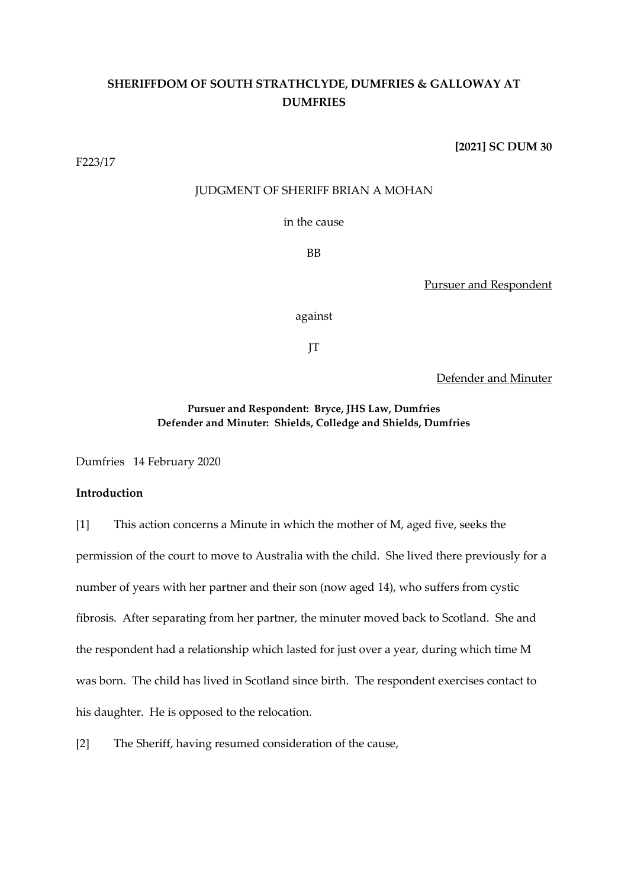# **SHERIFFDOM OF SOUTH STRATHCLYDE, DUMFRIES & GALLOWAY AT DUMFRIES**

F223/17

# **[2021] SC DUM 30**

# JUDGMENT OF SHERIFF BRIAN A MOHAN

in the cause

BB

Pursuer and Respondent

against

JT

Defender and Minuter

# **Pursuer and Respondent: Bryce, JHS Law, Dumfries Defender and Minuter: Shields, Colledge and Shields, Dumfries**

Dumfries 14 February 2020

# **Introduction**

[1] This action concerns a Minute in which the mother of M, aged five, seeks the permission of the court to move to Australia with the child. She lived there previously for a number of years with her partner and their son (now aged 14), who suffers from cystic fibrosis. After separating from her partner, the minuter moved back to Scotland. She and the respondent had a relationship which lasted for just over a year, during which time M was born. The child has lived in Scotland since birth. The respondent exercises contact to his daughter. He is opposed to the relocation.

[2] The Sheriff, having resumed consideration of the cause,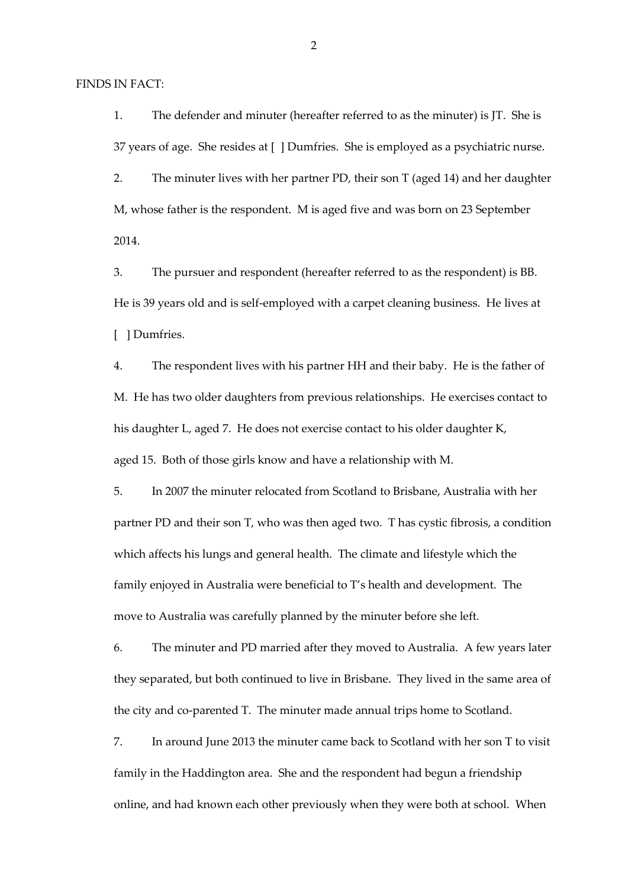FINDS IN FACT:

1. The defender and minuter (hereafter referred to as the minuter) is JT. She is 37 years of age. She resides at [ ] Dumfries. She is employed as a psychiatric nurse.

2. The minuter lives with her partner PD, their son T (aged 14) and her daughter M, whose father is the respondent. M is aged five and was born on 23 September 2014.

3. The pursuer and respondent (hereafter referred to as the respondent) is BB. He is 39 years old and is self-employed with a carpet cleaning business. He lives at [ ] Dumfries.

4. The respondent lives with his partner HH and their baby. He is the father of M. He has two older daughters from previous relationships. He exercises contact to his daughter L, aged 7. He does not exercise contact to his older daughter K, aged 15. Both of those girls know and have a relationship with M.

5. In 2007 the minuter relocated from Scotland to Brisbane, Australia with her partner PD and their son T, who was then aged two. T has cystic fibrosis, a condition which affects his lungs and general health. The climate and lifestyle which the family enjoyed in Australia were beneficial to T's health and development. The move to Australia was carefully planned by the minuter before she left.

6. The minuter and PD married after they moved to Australia. A few years later they separated, but both continued to live in Brisbane. They lived in the same area of the city and co-parented T. The minuter made annual trips home to Scotland.

7. In around June 2013 the minuter came back to Scotland with her son T to visit family in the Haddington area. She and the respondent had begun a friendship online, and had known each other previously when they were both at school. When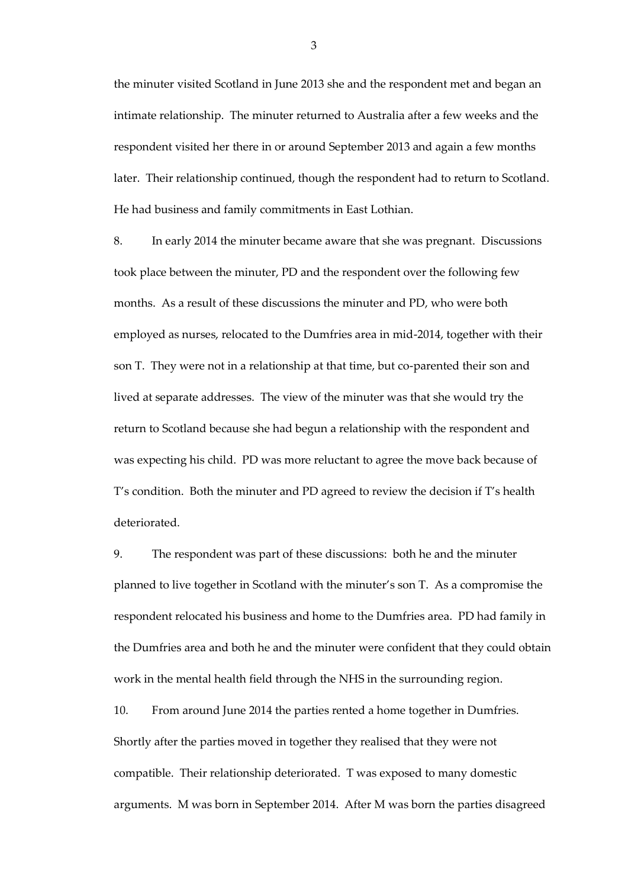the minuter visited Scotland in June 2013 she and the respondent met and began an intimate relationship. The minuter returned to Australia after a few weeks and the respondent visited her there in or around September 2013 and again a few months later. Their relationship continued, though the respondent had to return to Scotland. He had business and family commitments in East Lothian.

8. In early 2014 the minuter became aware that she was pregnant. Discussions took place between the minuter, PD and the respondent over the following few months. As a result of these discussions the minuter and PD, who were both employed as nurses, relocated to the Dumfries area in mid-2014, together with their son T. They were not in a relationship at that time, but co-parented their son and lived at separate addresses. The view of the minuter was that she would try the return to Scotland because she had begun a relationship with the respondent and was expecting his child. PD was more reluctant to agree the move back because of T's condition. Both the minuter and PD agreed to review the decision if T's health deteriorated.

9. The respondent was part of these discussions: both he and the minuter planned to live together in Scotland with the minuter's son T. As a compromise the respondent relocated his business and home to the Dumfries area. PD had family in the Dumfries area and both he and the minuter were confident that they could obtain work in the mental health field through the NHS in the surrounding region.

10. From around June 2014 the parties rented a home together in Dumfries. Shortly after the parties moved in together they realised that they were not compatible. Their relationship deteriorated. T was exposed to many domestic arguments. M was born in September 2014. After M was born the parties disagreed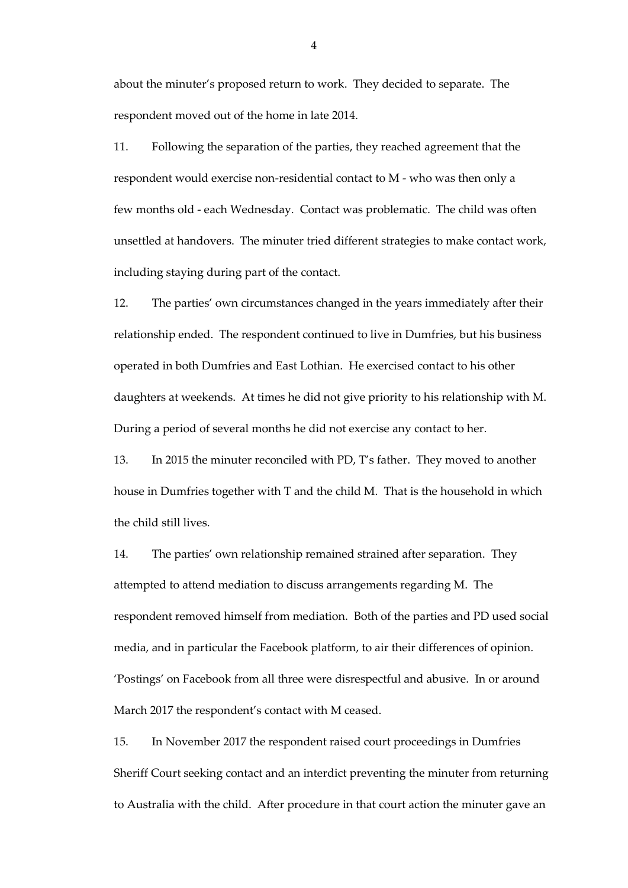about the minuter's proposed return to work. They decided to separate. The respondent moved out of the home in late 2014.

11. Following the separation of the parties, they reached agreement that the respondent would exercise non-residential contact to M - who was then only a few months old - each Wednesday. Contact was problematic. The child was often unsettled at handovers. The minuter tried different strategies to make contact work, including staying during part of the contact.

12. The parties' own circumstances changed in the years immediately after their relationship ended. The respondent continued to live in Dumfries, but his business operated in both Dumfries and East Lothian. He exercised contact to his other daughters at weekends. At times he did not give priority to his relationship with M. During a period of several months he did not exercise any contact to her.

13. In 2015 the minuter reconciled with PD, T's father. They moved to another house in Dumfries together with T and the child M. That is the household in which the child still lives.

14. The parties' own relationship remained strained after separation. They attempted to attend mediation to discuss arrangements regarding M. The respondent removed himself from mediation. Both of the parties and PD used social media, and in particular the Facebook platform, to air their differences of opinion. 'Postings' on Facebook from all three were disrespectful and abusive. In or around March 2017 the respondent's contact with M ceased.

15. In November 2017 the respondent raised court proceedings in Dumfries Sheriff Court seeking contact and an interdict preventing the minuter from returning to Australia with the child. After procedure in that court action the minuter gave an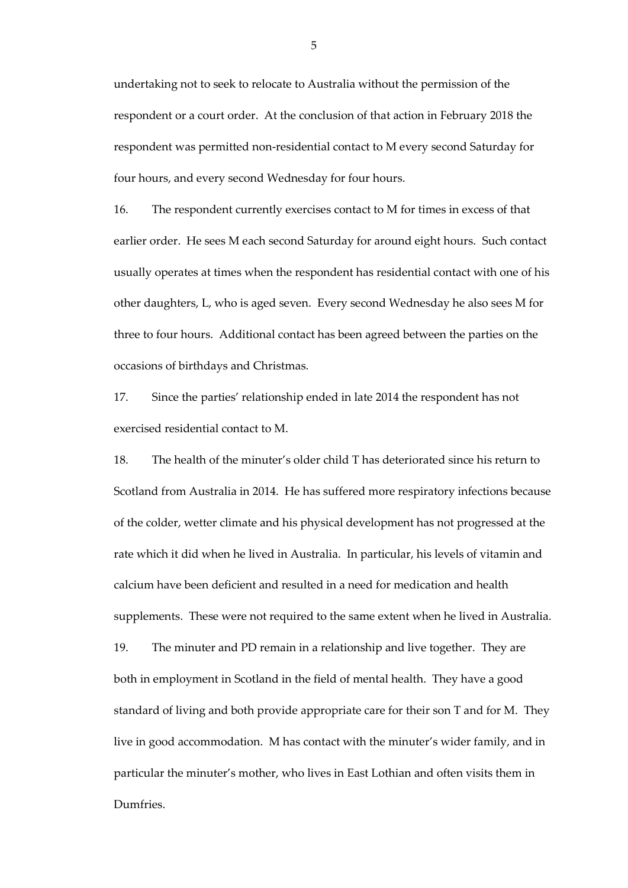undertaking not to seek to relocate to Australia without the permission of the respondent or a court order. At the conclusion of that action in February 2018 the respondent was permitted non-residential contact to M every second Saturday for four hours, and every second Wednesday for four hours.

16. The respondent currently exercises contact to M for times in excess of that earlier order. He sees M each second Saturday for around eight hours. Such contact usually operates at times when the respondent has residential contact with one of his other daughters, L, who is aged seven. Every second Wednesday he also sees M for three to four hours. Additional contact has been agreed between the parties on the occasions of birthdays and Christmas.

17. Since the parties' relationship ended in late 2014 the respondent has not exercised residential contact to M.

18. The health of the minuter's older child T has deteriorated since his return to Scotland from Australia in 2014. He has suffered more respiratory infections because of the colder, wetter climate and his physical development has not progressed at the rate which it did when he lived in Australia. In particular, his levels of vitamin and calcium have been deficient and resulted in a need for medication and health supplements. These were not required to the same extent when he lived in Australia. 19. The minuter and PD remain in a relationship and live together. They are both in employment in Scotland in the field of mental health. They have a good standard of living and both provide appropriate care for their son T and for M. They live in good accommodation. M has contact with the minuter's wider family, and in particular the minuter's mother, who lives in East Lothian and often visits them in Dumfries.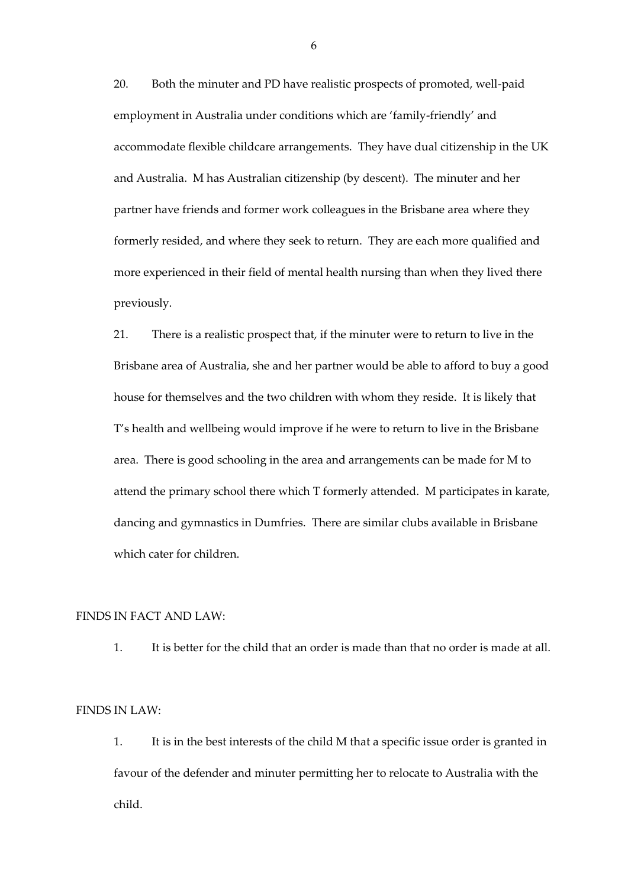20. Both the minuter and PD have realistic prospects of promoted, well-paid employment in Australia under conditions which are 'family-friendly' and accommodate flexible childcare arrangements. They have dual citizenship in the UK and Australia. M has Australian citizenship (by descent). The minuter and her partner have friends and former work colleagues in the Brisbane area where they formerly resided, and where they seek to return. They are each more qualified and more experienced in their field of mental health nursing than when they lived there previously.

21. There is a realistic prospect that, if the minuter were to return to live in the Brisbane area of Australia, she and her partner would be able to afford to buy a good house for themselves and the two children with whom they reside. It is likely that T's health and wellbeing would improve if he were to return to live in the Brisbane area. There is good schooling in the area and arrangements can be made for M to attend the primary school there which T formerly attended. M participates in karate, dancing and gymnastics in Dumfries. There are similar clubs available in Brisbane which cater for children.

# FINDS IN FACT AND LAW:

1. It is better for the child that an order is made than that no order is made at all.

# FINDS IN LAW:

1. It is in the best interests of the child M that a specific issue order is granted in favour of the defender and minuter permitting her to relocate to Australia with the child.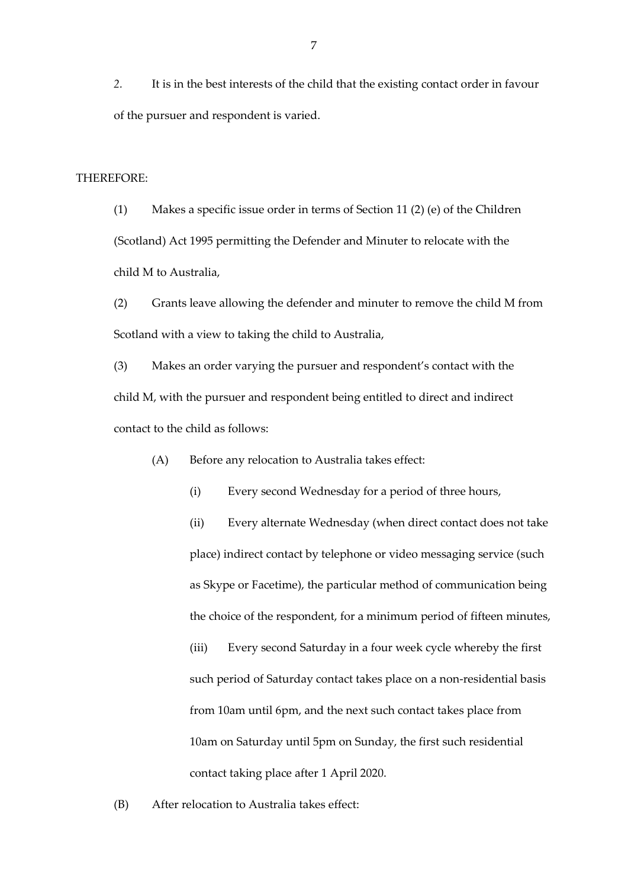*2.* It is in the best interests of the child that the existing contact order in favour of the pursuer and respondent is varied.

THEREFORE:

(1) Makes a specific issue order in terms of Section 11 (2) (e) of the Children (Scotland) Act 1995 permitting the Defender and Minuter to relocate with the child M to Australia,

(2) Grants leave allowing the defender and minuter to remove the child M from Scotland with a view to taking the child to Australia,

(3) Makes an order varying the pursuer and respondent's contact with the child M, with the pursuer and respondent being entitled to direct and indirect contact to the child as follows:

(A) Before any relocation to Australia takes effect:

(i) Every second Wednesday for a period of three hours,

(ii) Every alternate Wednesday (when direct contact does not take place) indirect contact by telephone or video messaging service (such as Skype or Facetime), the particular method of communication being the choice of the respondent, for a minimum period of fifteen minutes, (iii) Every second Saturday in a four week cycle whereby the first such period of Saturday contact takes place on a non-residential basis from 10am until 6pm, and the next such contact takes place from 10am on Saturday until 5pm on Sunday, the first such residential contact taking place after 1 April 2020.

(B) After relocation to Australia takes effect: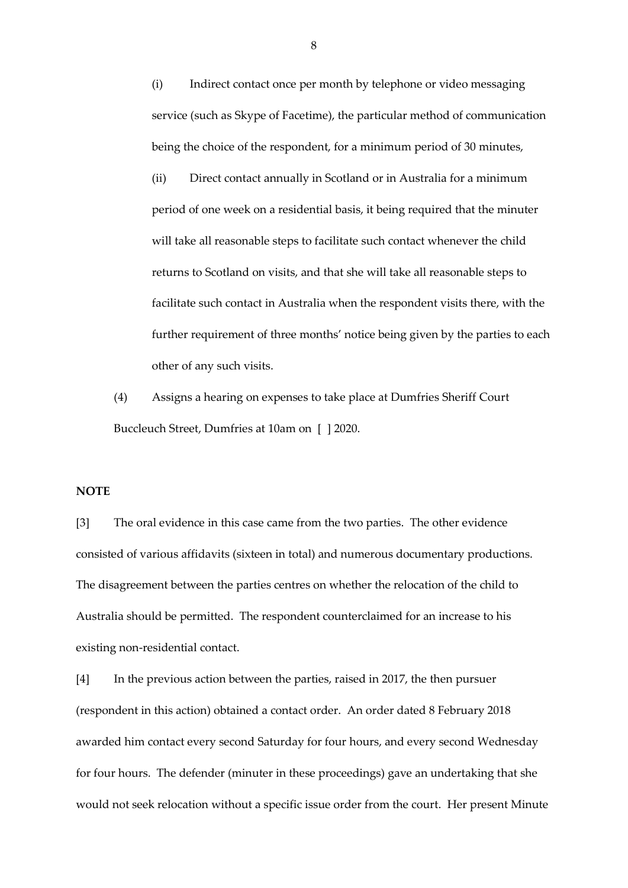(i) Indirect contact once per month by telephone or video messaging service (such as Skype of Facetime), the particular method of communication being the choice of the respondent, for a minimum period of 30 minutes,

(ii) Direct contact annually in Scotland or in Australia for a minimum period of one week on a residential basis, it being required that the minuter will take all reasonable steps to facilitate such contact whenever the child returns to Scotland on visits, and that she will take all reasonable steps to facilitate such contact in Australia when the respondent visits there, with the further requirement of three months' notice being given by the parties to each other of any such visits.

(4) Assigns a hearing on expenses to take place at Dumfries Sheriff Court Buccleuch Street, Dumfries at 10am on [ ] 2020.

### **NOTE**

[3] The oral evidence in this case came from the two parties. The other evidence consisted of various affidavits (sixteen in total) and numerous documentary productions. The disagreement between the parties centres on whether the relocation of the child to Australia should be permitted. The respondent counterclaimed for an increase to his existing non-residential contact.

[4] In the previous action between the parties, raised in 2017, the then pursuer (respondent in this action) obtained a contact order. An order dated 8 February 2018 awarded him contact every second Saturday for four hours, and every second Wednesday for four hours. The defender (minuter in these proceedings) gave an undertaking that she would not seek relocation without a specific issue order from the court. Her present Minute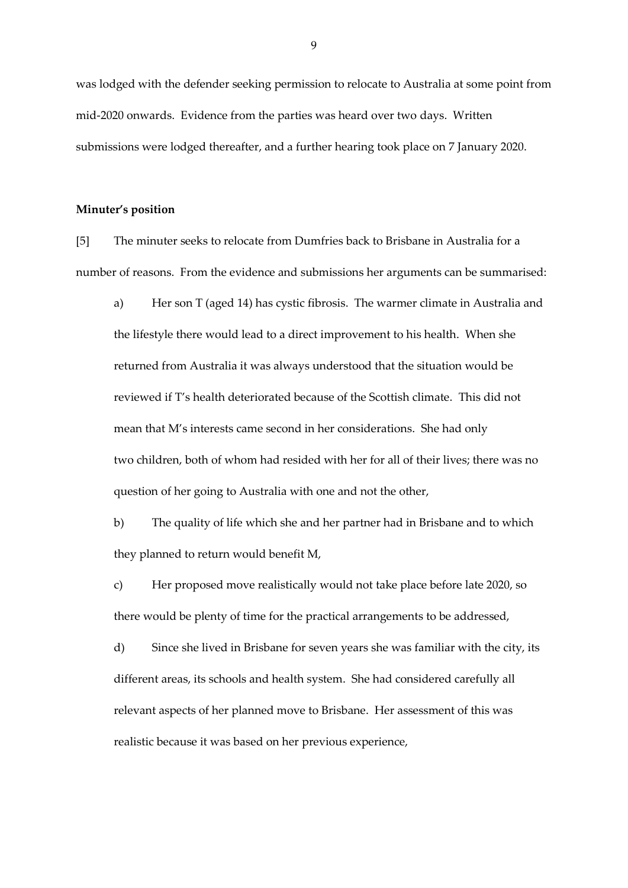was lodged with the defender seeking permission to relocate to Australia at some point from mid-2020 onwards. Evidence from the parties was heard over two days. Written submissions were lodged thereafter, and a further hearing took place on 7 January 2020.

### **Minuter's position**

[5] The minuter seeks to relocate from Dumfries back to Brisbane in Australia for a number of reasons. From the evidence and submissions her arguments can be summarised:

a) Her son T (aged 14) has cystic fibrosis. The warmer climate in Australia and the lifestyle there would lead to a direct improvement to his health. When she returned from Australia it was always understood that the situation would be reviewed if T's health deteriorated because of the Scottish climate. This did not mean that M's interests came second in her considerations. She had only two children, both of whom had resided with her for all of their lives; there was no question of her going to Australia with one and not the other,

b) The quality of life which she and her partner had in Brisbane and to which they planned to return would benefit M,

c) Her proposed move realistically would not take place before late 2020, so there would be plenty of time for the practical arrangements to be addressed,

d) Since she lived in Brisbane for seven years she was familiar with the city, its different areas, its schools and health system. She had considered carefully all relevant aspects of her planned move to Brisbane. Her assessment of this was realistic because it was based on her previous experience,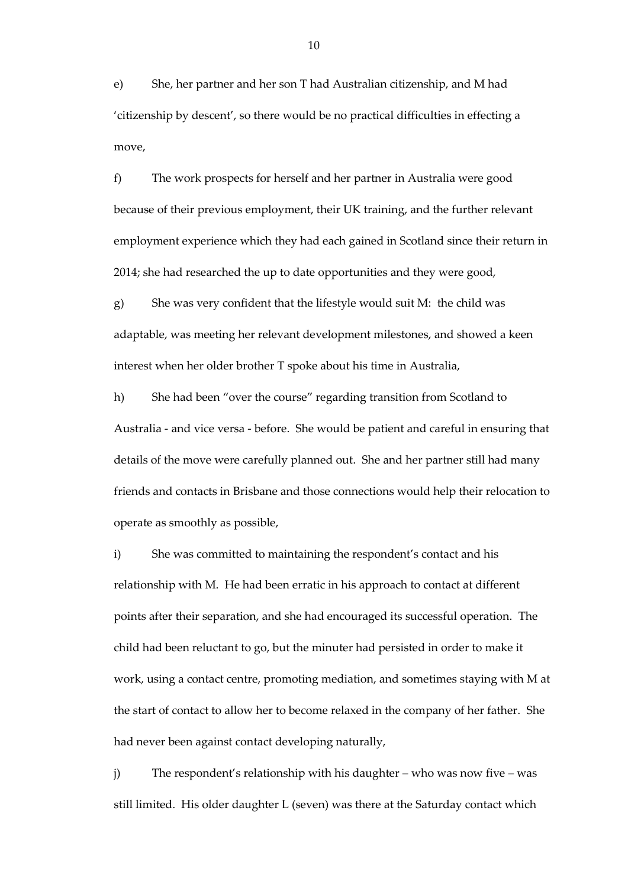e) She, her partner and her son T had Australian citizenship, and M had 'citizenship by descent', so there would be no practical difficulties in effecting a move,

f) The work prospects for herself and her partner in Australia were good because of their previous employment, their UK training, and the further relevant employment experience which they had each gained in Scotland since their return in 2014; she had researched the up to date opportunities and they were good,

g) She was very confident that the lifestyle would suit M: the child was adaptable, was meeting her relevant development milestones, and showed a keen interest when her older brother T spoke about his time in Australia,

h) She had been "over the course" regarding transition from Scotland to Australia - and vice versa - before. She would be patient and careful in ensuring that details of the move were carefully planned out. She and her partner still had many friends and contacts in Brisbane and those connections would help their relocation to operate as smoothly as possible,

i) She was committed to maintaining the respondent's contact and his relationship with M. He had been erratic in his approach to contact at different points after their separation, and she had encouraged its successful operation. The child had been reluctant to go, but the minuter had persisted in order to make it work, using a contact centre, promoting mediation, and sometimes staying with M at the start of contact to allow her to become relaxed in the company of her father. She had never been against contact developing naturally,

j) The respondent's relationship with his daughter – who was now five – was still limited. His older daughter L (seven) was there at the Saturday contact which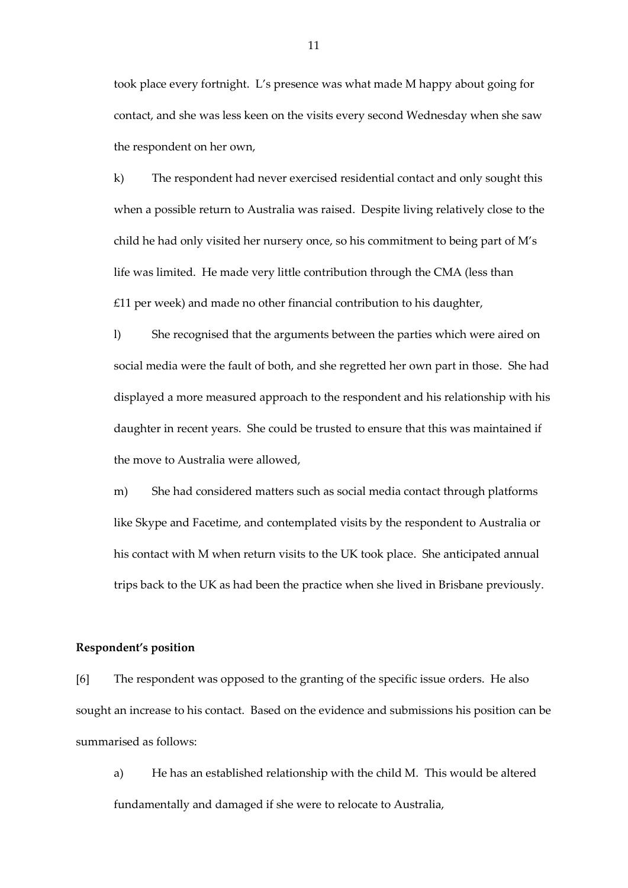took place every fortnight. L's presence was what made M happy about going for contact, and she was less keen on the visits every second Wednesday when she saw the respondent on her own,

k) The respondent had never exercised residential contact and only sought this when a possible return to Australia was raised. Despite living relatively close to the child he had only visited her nursery once, so his commitment to being part of M's life was limited. He made very little contribution through the CMA (less than £11 per week) and made no other financial contribution to his daughter,

l) She recognised that the arguments between the parties which were aired on social media were the fault of both, and she regretted her own part in those. She had displayed a more measured approach to the respondent and his relationship with his daughter in recent years. She could be trusted to ensure that this was maintained if the move to Australia were allowed,

m) She had considered matters such as social media contact through platforms like Skype and Facetime, and contemplated visits by the respondent to Australia or his contact with M when return visits to the UK took place. She anticipated annual trips back to the UK as had been the practice when she lived in Brisbane previously.

### **Respondent's position**

[6] The respondent was opposed to the granting of the specific issue orders. He also sought an increase to his contact. Based on the evidence and submissions his position can be summarised as follows:

a) He has an established relationship with the child M. This would be altered fundamentally and damaged if she were to relocate to Australia,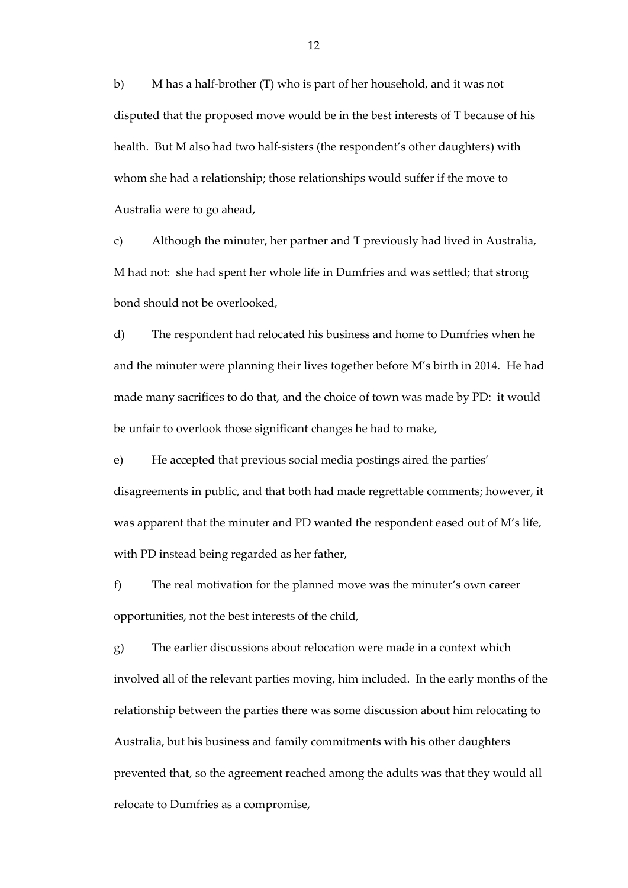b) M has a half-brother (T) who is part of her household, and it was not disputed that the proposed move would be in the best interests of T because of his health. But M also had two half-sisters (the respondent's other daughters) with whom she had a relationship; those relationships would suffer if the move to Australia were to go ahead,

c) Although the minuter, her partner and T previously had lived in Australia, M had not: she had spent her whole life in Dumfries and was settled; that strong bond should not be overlooked,

d) The respondent had relocated his business and home to Dumfries when he and the minuter were planning their lives together before M's birth in 2014. He had made many sacrifices to do that, and the choice of town was made by PD: it would be unfair to overlook those significant changes he had to make,

e) He accepted that previous social media postings aired the parties' disagreements in public, and that both had made regrettable comments; however, it was apparent that the minuter and PD wanted the respondent eased out of M's life, with PD instead being regarded as her father,

f) The real motivation for the planned move was the minuter's own career opportunities, not the best interests of the child,

g) The earlier discussions about relocation were made in a context which involved all of the relevant parties moving, him included. In the early months of the relationship between the parties there was some discussion about him relocating to Australia, but his business and family commitments with his other daughters prevented that, so the agreement reached among the adults was that they would all relocate to Dumfries as a compromise,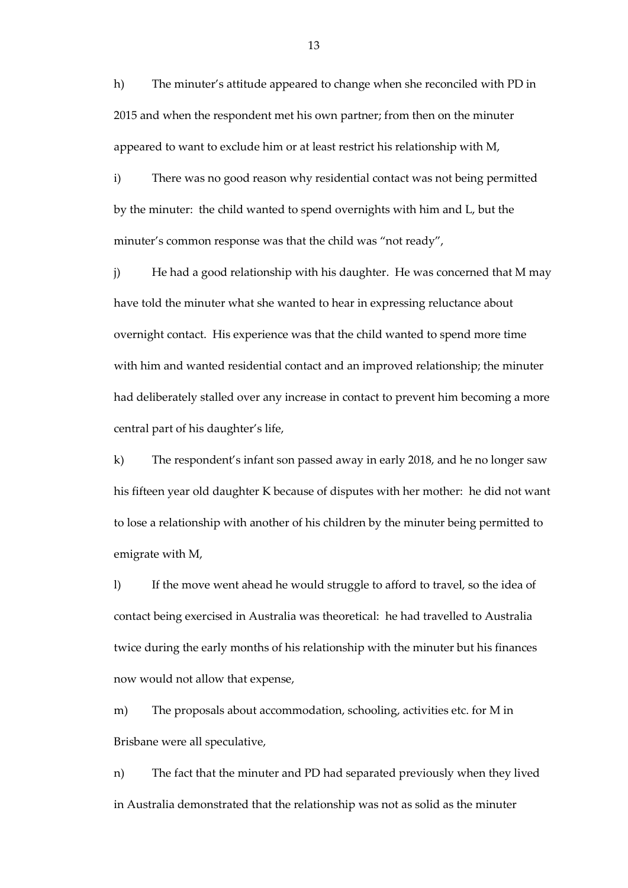h) The minuter's attitude appeared to change when she reconciled with PD in 2015 and when the respondent met his own partner; from then on the minuter appeared to want to exclude him or at least restrict his relationship with M,

i) There was no good reason why residential contact was not being permitted by the minuter: the child wanted to spend overnights with him and L, but the minuter's common response was that the child was "not ready",

j) He had a good relationship with his daughter. He was concerned that M may have told the minuter what she wanted to hear in expressing reluctance about overnight contact. His experience was that the child wanted to spend more time with him and wanted residential contact and an improved relationship; the minuter had deliberately stalled over any increase in contact to prevent him becoming a more central part of his daughter's life,

k) The respondent's infant son passed away in early 2018, and he no longer saw his fifteen year old daughter K because of disputes with her mother: he did not want to lose a relationship with another of his children by the minuter being permitted to emigrate with M,

l) If the move went ahead he would struggle to afford to travel, so the idea of contact being exercised in Australia was theoretical: he had travelled to Australia twice during the early months of his relationship with the minuter but his finances now would not allow that expense,

m) The proposals about accommodation, schooling, activities etc. for M in Brisbane were all speculative,

n) The fact that the minuter and PD had separated previously when they lived in Australia demonstrated that the relationship was not as solid as the minuter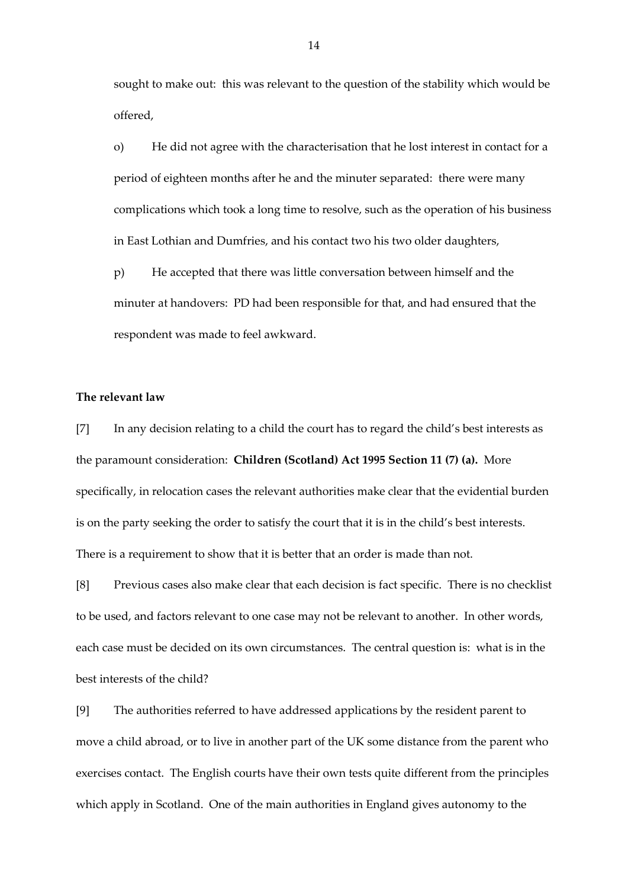sought to make out: this was relevant to the question of the stability which would be offered,

o) He did not agree with the characterisation that he lost interest in contact for a period of eighteen months after he and the minuter separated: there were many complications which took a long time to resolve, such as the operation of his business in East Lothian and Dumfries, and his contact two his two older daughters,

p) He accepted that there was little conversation between himself and the minuter at handovers: PD had been responsible for that, and had ensured that the respondent was made to feel awkward.

# **The relevant law**

[7] In any decision relating to a child the court has to regard the child's best interests as the paramount consideration: **Children (Scotland) Act 1995 Section 11 (7) (a).** More specifically, in relocation cases the relevant authorities make clear that the evidential burden is on the party seeking the order to satisfy the court that it is in the child's best interests. There is a requirement to show that it is better that an order is made than not.

[8] Previous cases also make clear that each decision is fact specific. There is no checklist to be used, and factors relevant to one case may not be relevant to another. In other words, each case must be decided on its own circumstances. The central question is: what is in the best interests of the child?

[9] The authorities referred to have addressed applications by the resident parent to move a child abroad, or to live in another part of the UK some distance from the parent who exercises contact. The English courts have their own tests quite different from the principles which apply in Scotland. One of the main authorities in England gives autonomy to the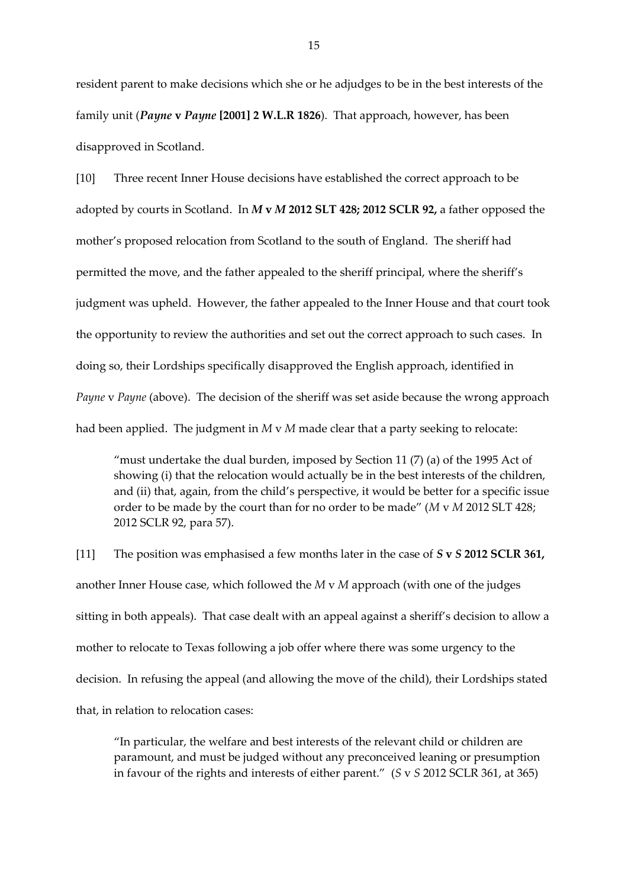resident parent to make decisions which she or he adjudges to be in the best interests of the family unit (*Payne* **v** *Payne* **[2001] 2 W.L.R 1826**). That approach, however, has been disapproved in Scotland.

[10] Three recent Inner House decisions have established the correct approach to be adopted by courts in Scotland. In *M* **v** *M* **2012 SLT 428; 2012 SCLR 92,** a father opposed the mother's proposed relocation from Scotland to the south of England. The sheriff had permitted the move, and the father appealed to the sheriff principal, where the sheriff's judgment was upheld. However, the father appealed to the Inner House and that court took the opportunity to review the authorities and set out the correct approach to such cases. In doing so, their Lordships specifically disapproved the English approach, identified in *Payne* v *Payne* (above). The decision of the sheriff was set aside because the wrong approach had been applied. The judgment in *M* v *M* made clear that a party seeking to relocate:

"must undertake the dual burden, imposed by Section 11  $(7)$  (a) of the 1995 Act of showing (i) that the relocation would actually be in the best interests of the children, and (ii) that, again, from the child's perspective, it would be better for a specific issue order to be made by the court than for no order to be made" (*M* v *M* 2012 SLT 428; 2012 SCLR 92, para 57).

[11] The position was emphasised a few months later in the case of *S* **v** *S* **2012 SCLR 361,** another Inner House case, which followed the *M* v *M* approach (with one of the judges sitting in both appeals). That case dealt with an appeal against a sheriff's decision to allow a mother to relocate to Texas following a job offer where there was some urgency to the decision. In refusing the appeal (and allowing the move of the child), their Lordships stated that, in relation to relocation cases:

"In particular, the welfare and best interests of the relevant child or children are paramount, and must be judged without any preconceived leaning or presumption in favour of the rights and interests of either parent." (*S* v *S* 2012 SCLR 361, at 365)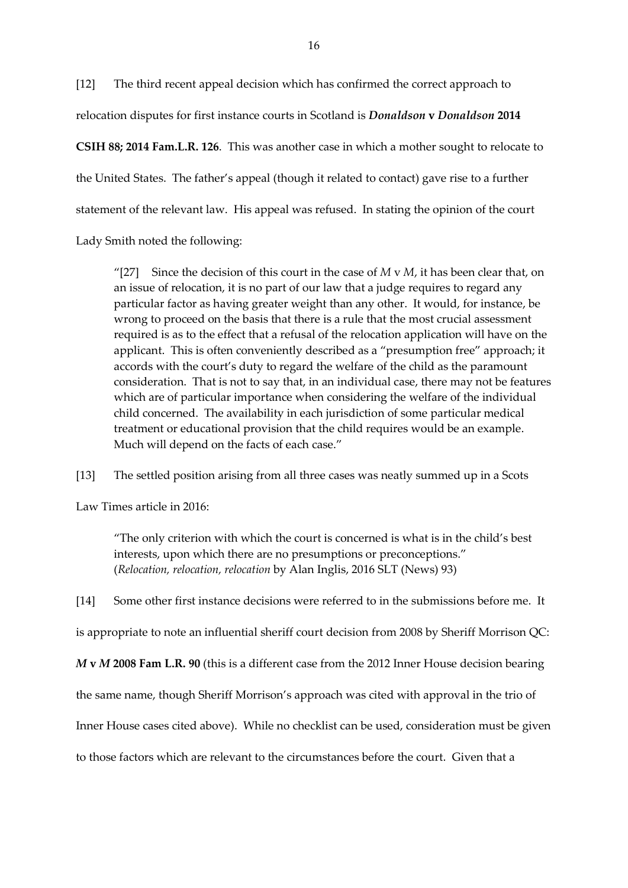[12] The third recent appeal decision which has confirmed the correct approach to relocation disputes for first instance courts in Scotland is *Donaldson* **v** *Donaldson* **2014** 

**CSIH 88; 2014 Fam.L.R. 126**. This was another case in which a mother sought to relocate to the United States. The father's appeal (though it related to contact) gave rise to a further statement of the relevant law. His appeal was refused. In stating the opinion of the court

Lady Smith noted the following:

"[27] Since the decision of this court in the case of  $M \vee M$ , it has been clear that, on an issue of relocation, it is no part of our law that a judge requires to regard any particular factor as having greater weight than any other. It would, for instance, be wrong to proceed on the basis that there is a rule that the most crucial assessment required is as to the effect that a refusal of the relocation application will have on the applicant. This is often conveniently described as a "presumption free" approach; it accords with the court's duty to regard the welfare of the child as the paramount consideration. That is not to say that, in an individual case, there may not be features which are of particular importance when considering the welfare of the individual child concerned. The availability in each jurisdiction of some particular medical treatment or educational provision that the child requires would be an example. Much will depend on the facts of each case."

[13] The settled position arising from all three cases was neatly summed up in a Scots

Law Times article in 2016:

"The only criterion with which the court is concerned is what is in the child's best interests, upon which there are no presumptions or preconceptions." (*Relocation, relocation, relocation* by Alan Inglis, 2016 SLT (News) 93)

[14] Some other first instance decisions were referred to in the submissions before me. It

is appropriate to note an influential sheriff court decision from 2008 by Sheriff Morrison QC:

*M* **v** *M* **2008 Fam L.R. 90** (this is a different case from the 2012 Inner House decision bearing

the same name, though Sheriff Morrison's approach was cited with approval in the trio of

Inner House cases cited above). While no checklist can be used, consideration must be given

to those factors which are relevant to the circumstances before the court. Given that a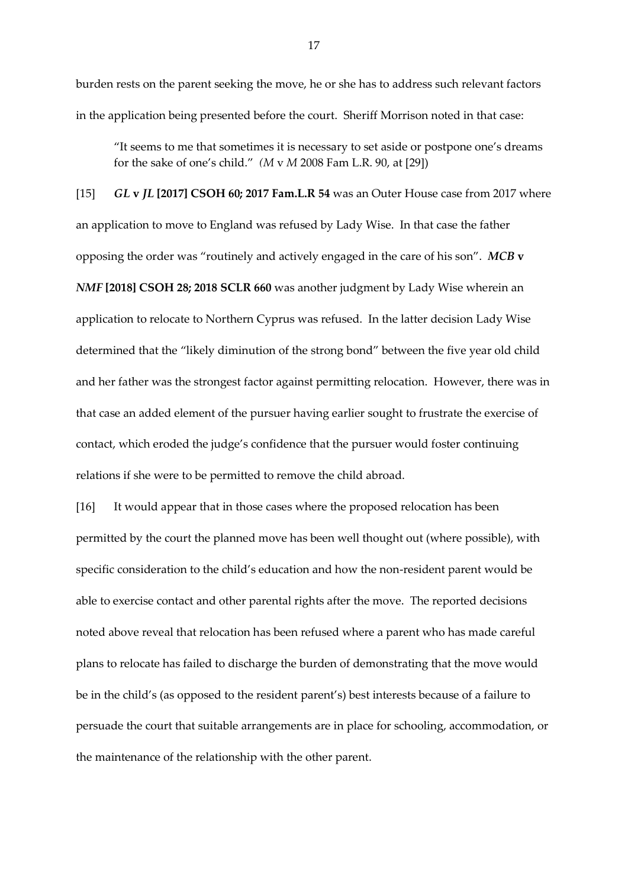burden rests on the parent seeking the move, he or she has to address such relevant factors in the application being presented before the court. Sheriff Morrison noted in that case:

"It seems to me that sometimes it is necessary to set aside or postpone one's dreams for the sake of one's child." *(M* v *M* 2008 Fam L.R. 90, at [29])

[15] *GL* **v** *JL* **[2017] CSOH 60; 2017 Fam.L.R 54** was an Outer House case from 2017 where an application to move to England was refused by Lady Wise. In that case the father opposing the order was "routinely and actively engaged in the care of his son". *MCB* **v** *NMF* **[2018] CSOH 28; 2018 SCLR 660** was another judgment by Lady Wise wherein an application to relocate to Northern Cyprus was refused. In the latter decision Lady Wise determined that the "likely diminution of the strong bond" between the five year old child and her father was the strongest factor against permitting relocation. However, there was in that case an added element of the pursuer having earlier sought to frustrate the exercise of contact, which eroded the judge's confidence that the pursuer would foster continuing relations if she were to be permitted to remove the child abroad.

[16] It would appear that in those cases where the proposed relocation has been permitted by the court the planned move has been well thought out (where possible), with specific consideration to the child's education and how the non-resident parent would be able to exercise contact and other parental rights after the move. The reported decisions noted above reveal that relocation has been refused where a parent who has made careful plans to relocate has failed to discharge the burden of demonstrating that the move would be in the child's (as opposed to the resident parent's) best interests because of a failure to persuade the court that suitable arrangements are in place for schooling, accommodation, or the maintenance of the relationship with the other parent.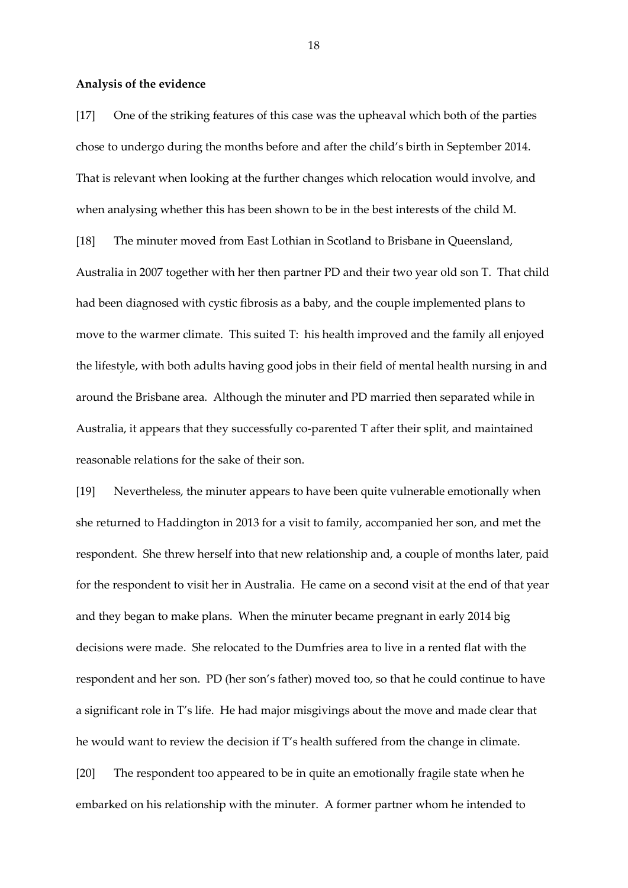#### **Analysis of the evidence**

[17] One of the striking features of this case was the upheaval which both of the parties chose to undergo during the months before and after the child's birth in September 2014. That is relevant when looking at the further changes which relocation would involve, and when analysing whether this has been shown to be in the best interests of the child M. [18] The minuter moved from East Lothian in Scotland to Brisbane in Queensland, Australia in 2007 together with her then partner PD and their two year old son T. That child had been diagnosed with cystic fibrosis as a baby, and the couple implemented plans to move to the warmer climate. This suited T: his health improved and the family all enjoyed the lifestyle, with both adults having good jobs in their field of mental health nursing in and around the Brisbane area. Although the minuter and PD married then separated while in Australia, it appears that they successfully co-parented T after their split, and maintained reasonable relations for the sake of their son.

[19] Nevertheless, the minuter appears to have been quite vulnerable emotionally when she returned to Haddington in 2013 for a visit to family, accompanied her son, and met the respondent. She threw herself into that new relationship and, a couple of months later, paid for the respondent to visit her in Australia. He came on a second visit at the end of that year and they began to make plans. When the minuter became pregnant in early 2014 big decisions were made. She relocated to the Dumfries area to live in a rented flat with the respondent and her son. PD (her son's father) moved too, so that he could continue to have a significant role in T's life. He had major misgivings about the move and made clear that he would want to review the decision if T's health suffered from the change in climate. [20] The respondent too appeared to be in quite an emotionally fragile state when he embarked on his relationship with the minuter. A former partner whom he intended to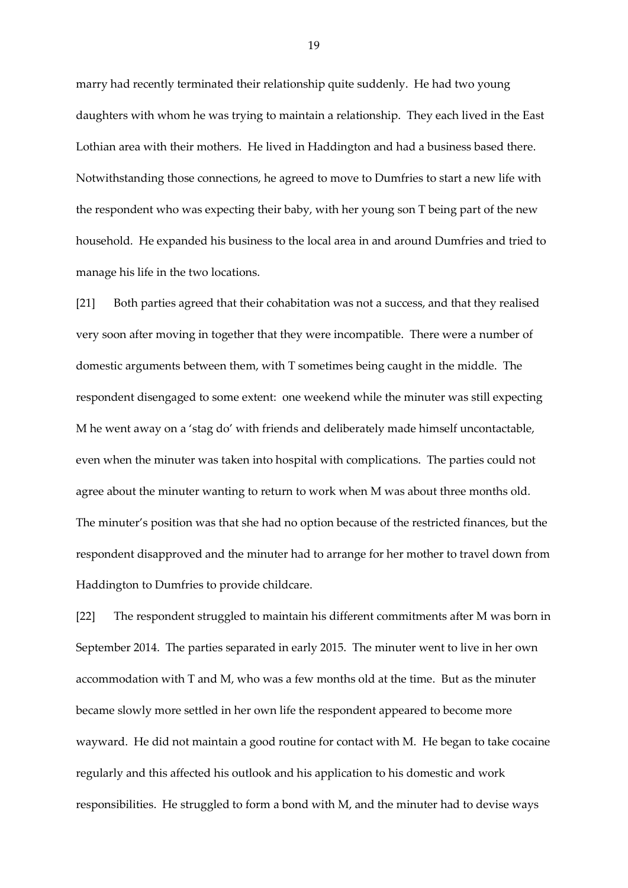marry had recently terminated their relationship quite suddenly. He had two young daughters with whom he was trying to maintain a relationship. They each lived in the East Lothian area with their mothers. He lived in Haddington and had a business based there. Notwithstanding those connections, he agreed to move to Dumfries to start a new life with the respondent who was expecting their baby, with her young son T being part of the new household. He expanded his business to the local area in and around Dumfries and tried to manage his life in the two locations.

[21] Both parties agreed that their cohabitation was not a success, and that they realised very soon after moving in together that they were incompatible. There were a number of domestic arguments between them, with T sometimes being caught in the middle. The respondent disengaged to some extent: one weekend while the minuter was still expecting M he went away on a 'stag do' with friends and deliberately made himself uncontactable, even when the minuter was taken into hospital with complications. The parties could not agree about the minuter wanting to return to work when M was about three months old. The minuter's position was that she had no option because of the restricted finances, but the respondent disapproved and the minuter had to arrange for her mother to travel down from Haddington to Dumfries to provide childcare.

[22] The respondent struggled to maintain his different commitments after M was born in September 2014. The parties separated in early 2015. The minuter went to live in her own accommodation with T and M, who was a few months old at the time. But as the minuter became slowly more settled in her own life the respondent appeared to become more wayward. He did not maintain a good routine for contact with M. He began to take cocaine regularly and this affected his outlook and his application to his domestic and work responsibilities. He struggled to form a bond with M, and the minuter had to devise ways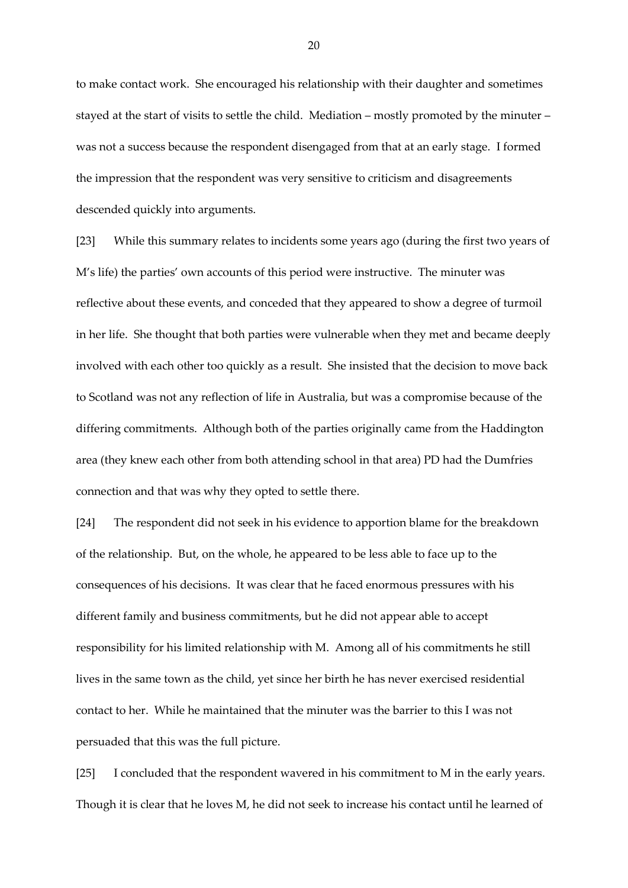to make contact work. She encouraged his relationship with their daughter and sometimes stayed at the start of visits to settle the child. Mediation – mostly promoted by the minuter – was not a success because the respondent disengaged from that at an early stage. I formed the impression that the respondent was very sensitive to criticism and disagreements descended quickly into arguments.

[23] While this summary relates to incidents some years ago (during the first two years of M's life) the parties' own accounts of this period were instructive. The minuter was reflective about these events, and conceded that they appeared to show a degree of turmoil in her life. She thought that both parties were vulnerable when they met and became deeply involved with each other too quickly as a result. She insisted that the decision to move back to Scotland was not any reflection of life in Australia, but was a compromise because of the differing commitments. Although both of the parties originally came from the Haddington area (they knew each other from both attending school in that area) PD had the Dumfries connection and that was why they opted to settle there.

[24] The respondent did not seek in his evidence to apportion blame for the breakdown of the relationship. But, on the whole, he appeared to be less able to face up to the consequences of his decisions. It was clear that he faced enormous pressures with his different family and business commitments, but he did not appear able to accept responsibility for his limited relationship with M. Among all of his commitments he still lives in the same town as the child, yet since her birth he has never exercised residential contact to her. While he maintained that the minuter was the barrier to this I was not persuaded that this was the full picture.

[25] I concluded that the respondent wavered in his commitment to M in the early years. Though it is clear that he loves M, he did not seek to increase his contact until he learned of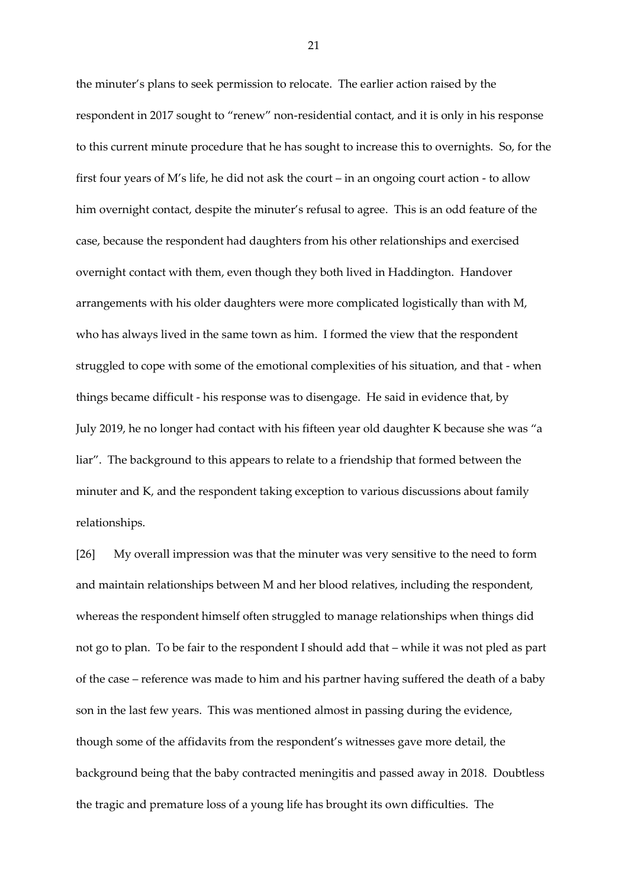the minuter's plans to seek permission to relocate. The earlier action raised by the respondent in 2017 sought to "renew" non-residential contact, and it is only in his response to this current minute procedure that he has sought to increase this to overnights. So, for the first four years of M's life, he did not ask the court – in an ongoing court action - to allow him overnight contact, despite the minuter's refusal to agree. This is an odd feature of the case, because the respondent had daughters from his other relationships and exercised overnight contact with them, even though they both lived in Haddington. Handover arrangements with his older daughters were more complicated logistically than with M, who has always lived in the same town as him. I formed the view that the respondent struggled to cope with some of the emotional complexities of his situation, and that - when things became difficult - his response was to disengage. He said in evidence that, by July 2019, he no longer had contact with his fifteen year old daughter K because she was "a liar". The background to this appears to relate to a friendship that formed between the minuter and K, and the respondent taking exception to various discussions about family relationships.

[26] My overall impression was that the minuter was very sensitive to the need to form and maintain relationships between M and her blood relatives, including the respondent, whereas the respondent himself often struggled to manage relationships when things did not go to plan. To be fair to the respondent I should add that – while it was not pled as part of the case – reference was made to him and his partner having suffered the death of a baby son in the last few years. This was mentioned almost in passing during the evidence, though some of the affidavits from the respondent's witnesses gave more detail, the background being that the baby contracted meningitis and passed away in 2018. Doubtless the tragic and premature loss of a young life has brought its own difficulties. The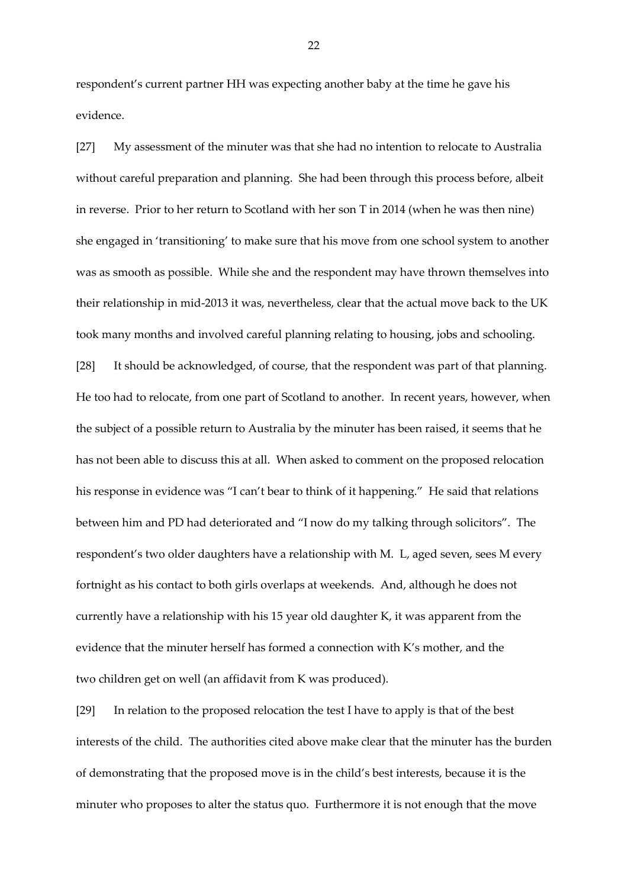respondent's current partner HH was expecting another baby at the time he gave his evidence.

[27] My assessment of the minuter was that she had no intention to relocate to Australia without careful preparation and planning. She had been through this process before, albeit in reverse. Prior to her return to Scotland with her son T in 2014 (when he was then nine) she engaged in 'transitioning' to make sure that his move from one school system to another was as smooth as possible. While she and the respondent may have thrown themselves into their relationship in mid-2013 it was, nevertheless, clear that the actual move back to the UK took many months and involved careful planning relating to housing, jobs and schooling. [28] It should be acknowledged, of course, that the respondent was part of that planning. He too had to relocate, from one part of Scotland to another. In recent years, however, when the subject of a possible return to Australia by the minuter has been raised, it seems that he has not been able to discuss this at all. When asked to comment on the proposed relocation his response in evidence was "I can't bear to think of it happening." He said that relations between him and PD had deteriorated and "I now do my talking through solicitors". The respondent's two older daughters have a relationship with M. L, aged seven, sees M every fortnight as his contact to both girls overlaps at weekends. And, although he does not currently have a relationship with his 15 year old daughter K, it was apparent from the evidence that the minuter herself has formed a connection with K's mother, and the two children get on well (an affidavit from K was produced).

[29] In relation to the proposed relocation the test I have to apply is that of the best interests of the child. The authorities cited above make clear that the minuter has the burden of demonstrating that the proposed move is in the child's best interests, because it is the minuter who proposes to alter the status quo. Furthermore it is not enough that the move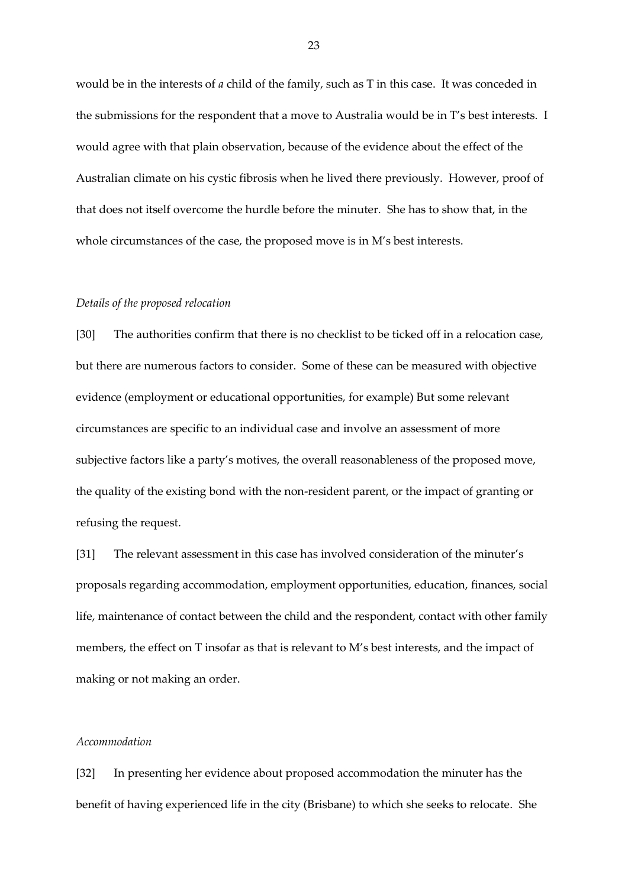would be in the interests of *a* child of the family, such as T in this case. It was conceded in the submissions for the respondent that a move to Australia would be in T's best interests. I would agree with that plain observation, because of the evidence about the effect of the Australian climate on his cystic fibrosis when he lived there previously. However, proof of that does not itself overcome the hurdle before the minuter. She has to show that, in the whole circumstances of the case, the proposed move is in M's best interests.

#### *Details of the proposed relocation*

[30] The authorities confirm that there is no checklist to be ticked off in a relocation case, but there are numerous factors to consider. Some of these can be measured with objective evidence (employment or educational opportunities, for example) But some relevant circumstances are specific to an individual case and involve an assessment of more subjective factors like a party's motives, the overall reasonableness of the proposed move, the quality of the existing bond with the non-resident parent, or the impact of granting or refusing the request.

[31] The relevant assessment in this case has involved consideration of the minuter's proposals regarding accommodation, employment opportunities, education, finances, social life, maintenance of contact between the child and the respondent, contact with other family members, the effect on T insofar as that is relevant to M's best interests, and the impact of making or not making an order.

# *Accommodation*

[32] In presenting her evidence about proposed accommodation the minuter has the benefit of having experienced life in the city (Brisbane) to which she seeks to relocate. She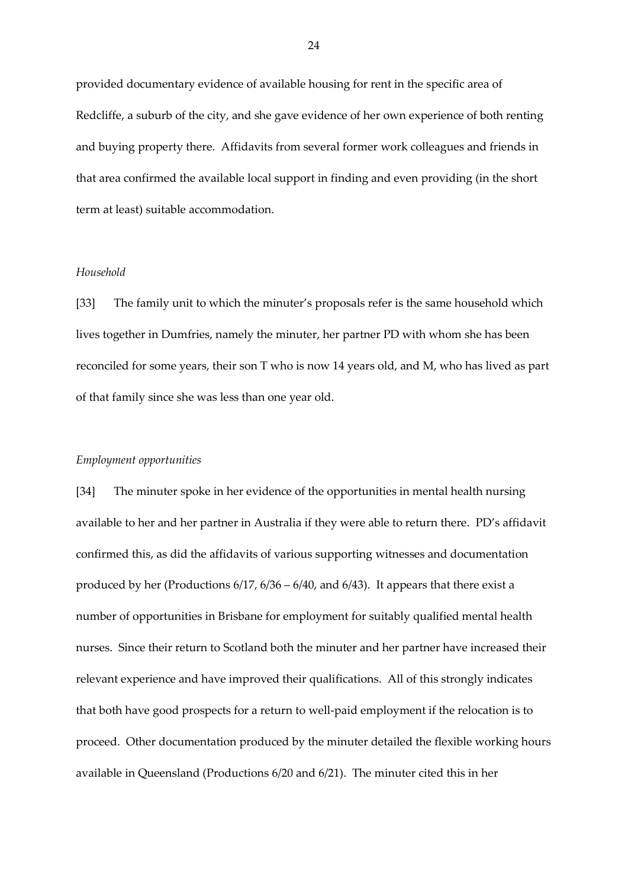provided documentary evidence of available housing for rent in the specific area of Redcliffe, a suburb of the city, and she gave evidence of her own experience of both renting and buying property there. Affidavits from several former work colleagues and friends in that area confirmed the available local support in finding and even providing (in the short term at least) suitable accommodation.

### *Household*

[33] The family unit to which the minuter's proposals refer is the same household which lives together in Dumfries, namely the minuter, her partner PD with whom she has been reconciled for some years, their son T who is now 14 years old, and M, who has lived as part of that family since she was less than one year old.

### *Employment opportunities*

[34] The minuter spoke in her evidence of the opportunities in mental health nursing available to her and her partner in Australia if they were able to return there. PD's affidavit confirmed this, as did the affidavits of various supporting witnesses and documentation produced by her (Productions 6/17, 6/36 – 6/40, and 6/43). It appears that there exist a number of opportunities in Brisbane for employment for suitably qualified mental health nurses. Since their return to Scotland both the minuter and her partner have increased their relevant experience and have improved their qualifications. All of this strongly indicates that both have good prospects for a return to well-paid employment if the relocation is to proceed. Other documentation produced by the minuter detailed the flexible working hours available in Queensland (Productions 6/20 and 6/21). The minuter cited this in her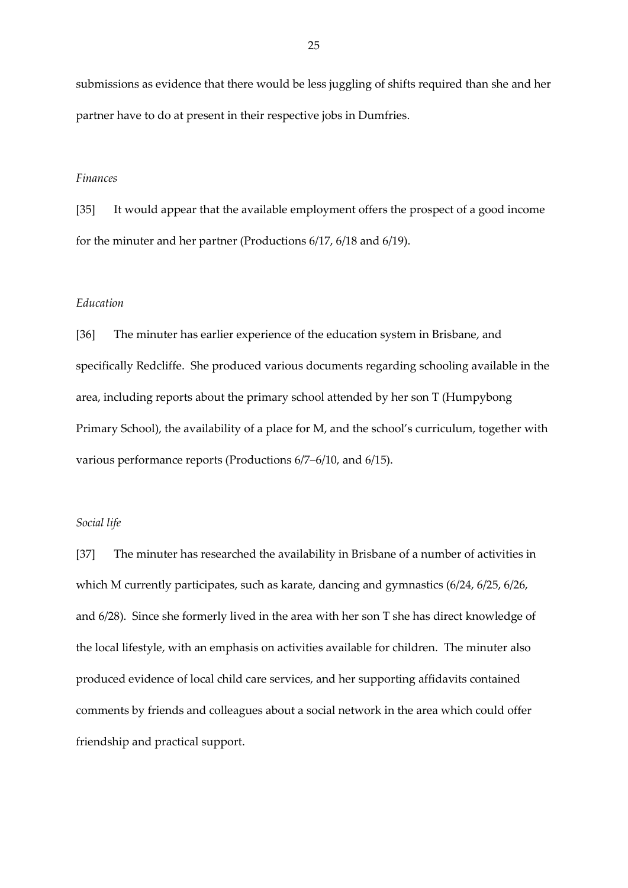submissions as evidence that there would be less juggling of shifts required than she and her partner have to do at present in their respective jobs in Dumfries.

### *Finances*

[35] It would appear that the available employment offers the prospect of a good income for the minuter and her partner (Productions 6/17, 6/18 and 6/19).

### *Education*

[36] The minuter has earlier experience of the education system in Brisbane, and specifically Redcliffe. She produced various documents regarding schooling available in the area, including reports about the primary school attended by her son T (Humpybong Primary School), the availability of a place for M, and the school's curriculum, together with various performance reports (Productions 6/7–6/10, and 6/15).

### *Social life*

[37] The minuter has researched the availability in Brisbane of a number of activities in which M currently participates, such as karate, dancing and gymnastics (6/24, 6/25, 6/26, and 6/28). Since she formerly lived in the area with her son T she has direct knowledge of the local lifestyle, with an emphasis on activities available for children. The minuter also produced evidence of local child care services, and her supporting affidavits contained comments by friends and colleagues about a social network in the area which could offer friendship and practical support.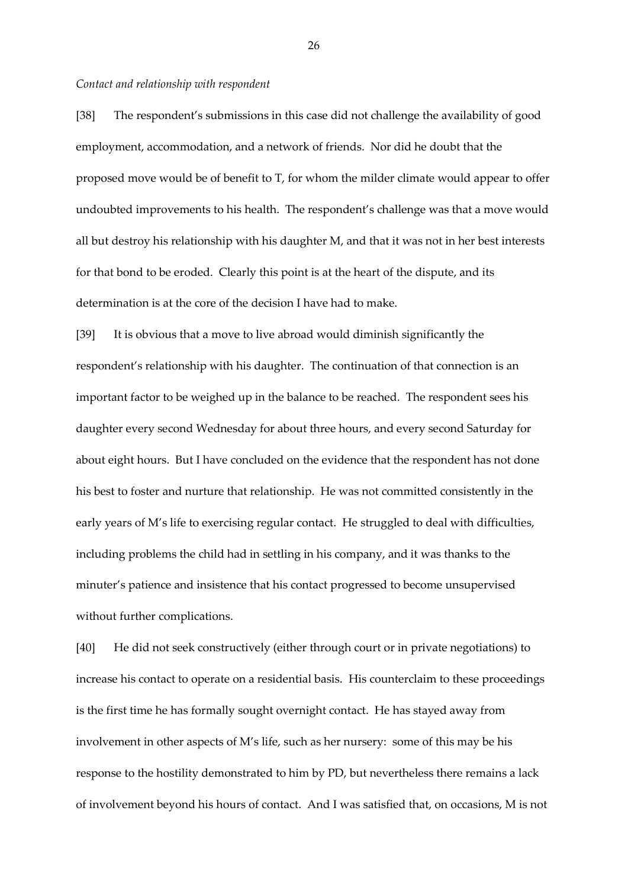#### *Contact and relationship with respondent*

[38] The respondent's submissions in this case did not challenge the availability of good employment, accommodation, and a network of friends. Nor did he doubt that the proposed move would be of benefit to T, for whom the milder climate would appear to offer undoubted improvements to his health. The respondent's challenge was that a move would all but destroy his relationship with his daughter M, and that it was not in her best interests for that bond to be eroded. Clearly this point is at the heart of the dispute, and its determination is at the core of the decision I have had to make.

[39] It is obvious that a move to live abroad would diminish significantly the respondent's relationship with his daughter. The continuation of that connection is an important factor to be weighed up in the balance to be reached. The respondent sees his daughter every second Wednesday for about three hours, and every second Saturday for about eight hours. But I have concluded on the evidence that the respondent has not done his best to foster and nurture that relationship. He was not committed consistently in the early years of M's life to exercising regular contact. He struggled to deal with difficulties, including problems the child had in settling in his company, and it was thanks to the minuter's patience and insistence that his contact progressed to become unsupervised without further complications.

[40] He did not seek constructively (either through court or in private negotiations) to increase his contact to operate on a residential basis. His counterclaim to these proceedings is the first time he has formally sought overnight contact. He has stayed away from involvement in other aspects of M's life, such as her nursery: some of this may be his response to the hostility demonstrated to him by PD, but nevertheless there remains a lack of involvement beyond his hours of contact. And I was satisfied that, on occasions, M is not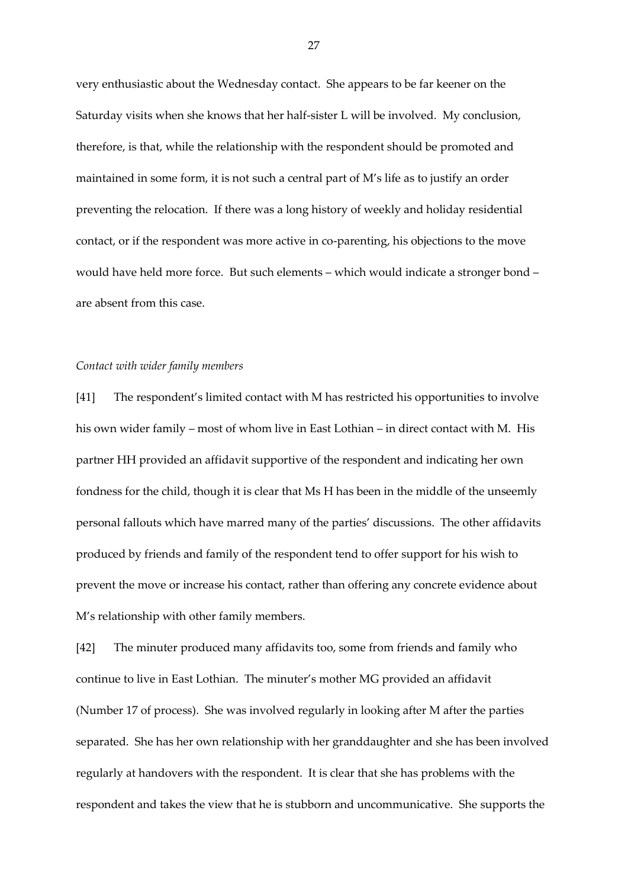very enthusiastic about the Wednesday contact. She appears to be far keener on the Saturday visits when she knows that her half-sister L will be involved. My conclusion, therefore, is that, while the relationship with the respondent should be promoted and maintained in some form, it is not such a central part of M's life as to justify an order preventing the relocation. If there was a long history of weekly and holiday residential contact, or if the respondent was more active in co-parenting, his objections to the move would have held more force. But such elements – which would indicate a stronger bond – are absent from this case.

### *Contact with wider family members*

[41] The respondent's limited contact with M has restricted his opportunities to involve his own wider family – most of whom live in East Lothian – in direct contact with M. His partner HH provided an affidavit supportive of the respondent and indicating her own fondness for the child, though it is clear that Ms H has been in the middle of the unseemly personal fallouts which have marred many of the parties' discussions. The other affidavits produced by friends and family of the respondent tend to offer support for his wish to prevent the move or increase his contact, rather than offering any concrete evidence about M's relationship with other family members.

[42] The minuter produced many affidavits too, some from friends and family who continue to live in East Lothian. The minuter's mother MG provided an affidavit (Number 17 of process). She was involved regularly in looking after M after the parties separated. She has her own relationship with her granddaughter and she has been involved regularly at handovers with the respondent. It is clear that she has problems with the respondent and takes the view that he is stubborn and uncommunicative. She supports the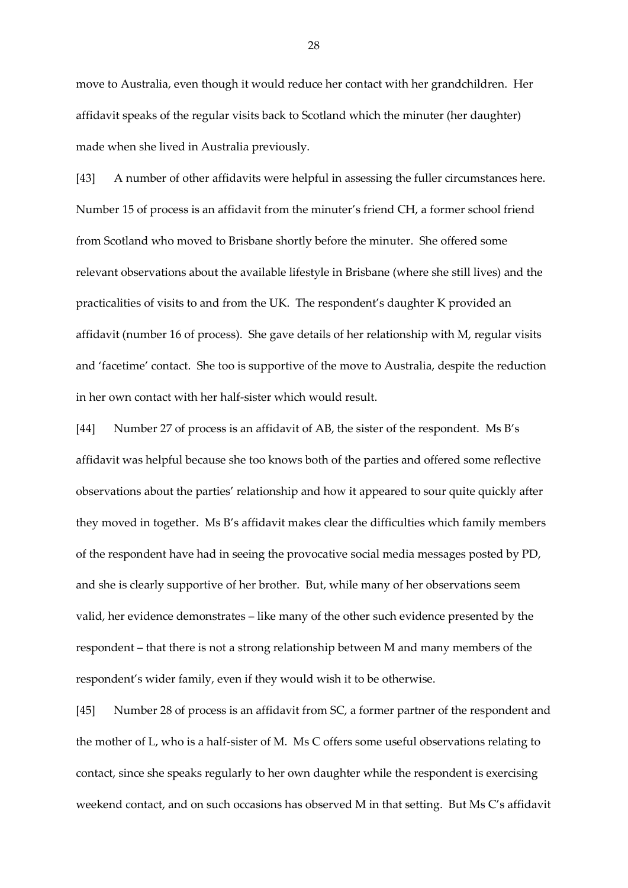move to Australia, even though it would reduce her contact with her grandchildren. Her affidavit speaks of the regular visits back to Scotland which the minuter (her daughter) made when she lived in Australia previously.

[43] A number of other affidavits were helpful in assessing the fuller circumstances here. Number 15 of process is an affidavit from the minuter's friend CH, a former school friend from Scotland who moved to Brisbane shortly before the minuter. She offered some relevant observations about the available lifestyle in Brisbane (where she still lives) and the practicalities of visits to and from the UK. The respondent's daughter K provided an affidavit (number 16 of process). She gave details of her relationship with M, regular visits and 'facetime' contact. She too is supportive of the move to Australia, despite the reduction in her own contact with her half-sister which would result.

[44] Number 27 of process is an affidavit of AB, the sister of the respondent. Ms B's affidavit was helpful because she too knows both of the parties and offered some reflective observations about the parties' relationship and how it appeared to sour quite quickly after they moved in together. Ms B's affidavit makes clear the difficulties which family members of the respondent have had in seeing the provocative social media messages posted by PD, and she is clearly supportive of her brother. But, while many of her observations seem valid, her evidence demonstrates – like many of the other such evidence presented by the respondent – that there is not a strong relationship between M and many members of the respondent's wider family, even if they would wish it to be otherwise.

[45] Number 28 of process is an affidavit from SC, a former partner of the respondent and the mother of L, who is a half-sister of M. Ms C offers some useful observations relating to contact, since she speaks regularly to her own daughter while the respondent is exercising weekend contact, and on such occasions has observed M in that setting. But Ms C's affidavit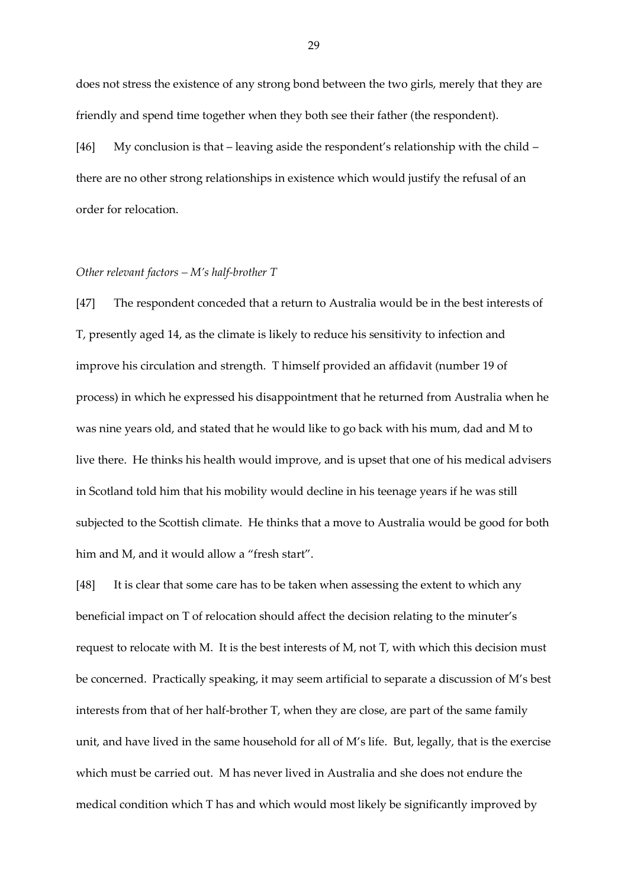does not stress the existence of any strong bond between the two girls, merely that they are friendly and spend time together when they both see their father (the respondent).

[46] My conclusion is that – leaving aside the respondent's relationship with the child – there are no other strong relationships in existence which would justify the refusal of an order for relocation.

### *Other relevant factors – M's half-brother T*

[47] The respondent conceded that a return to Australia would be in the best interests of T, presently aged 14, as the climate is likely to reduce his sensitivity to infection and improve his circulation and strength. T himself provided an affidavit (number 19 of process) in which he expressed his disappointment that he returned from Australia when he was nine years old, and stated that he would like to go back with his mum, dad and M to live there. He thinks his health would improve, and is upset that one of his medical advisers in Scotland told him that his mobility would decline in his teenage years if he was still subjected to the Scottish climate. He thinks that a move to Australia would be good for both him and M, and it would allow a "fresh start".

[48] It is clear that some care has to be taken when assessing the extent to which any beneficial impact on T of relocation should affect the decision relating to the minuter's request to relocate with M. It is the best interests of M, not T, with which this decision must be concerned. Practically speaking, it may seem artificial to separate a discussion of M's best interests from that of her half-brother T, when they are close, are part of the same family unit, and have lived in the same household for all of M's life. But, legally, that is the exercise which must be carried out. M has never lived in Australia and she does not endure the medical condition which T has and which would most likely be significantly improved by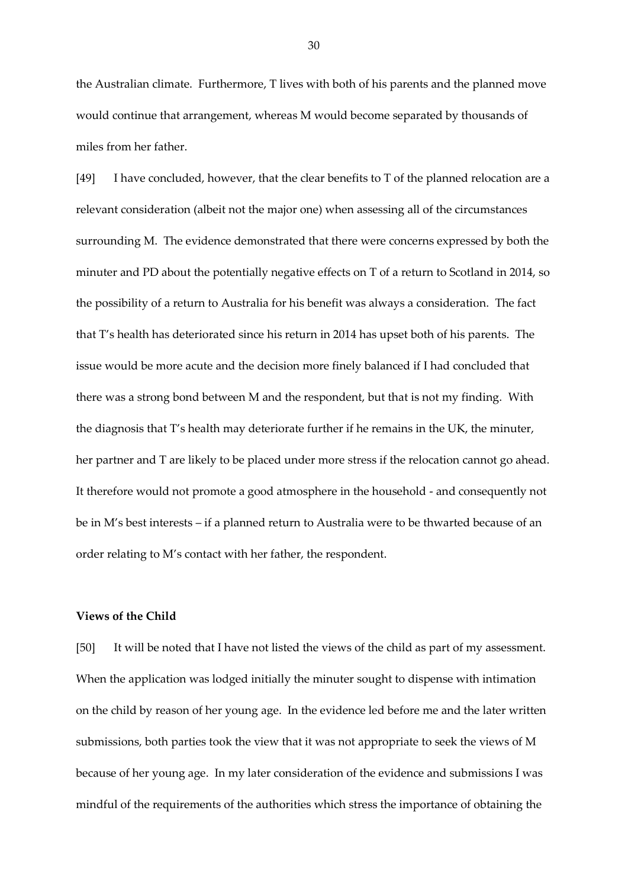the Australian climate. Furthermore, T lives with both of his parents and the planned move would continue that arrangement, whereas M would become separated by thousands of miles from her father.

[49] I have concluded, however, that the clear benefits to T of the planned relocation are a relevant consideration (albeit not the major one) when assessing all of the circumstances surrounding M. The evidence demonstrated that there were concerns expressed by both the minuter and PD about the potentially negative effects on T of a return to Scotland in 2014, so the possibility of a return to Australia for his benefit was always a consideration. The fact that T's health has deteriorated since his return in 2014 has upset both of his parents. The issue would be more acute and the decision more finely balanced if I had concluded that there was a strong bond between M and the respondent, but that is not my finding. With the diagnosis that T's health may deteriorate further if he remains in the UK, the minuter, her partner and T are likely to be placed under more stress if the relocation cannot go ahead. It therefore would not promote a good atmosphere in the household - and consequently not be in M's best interests – if a planned return to Australia were to be thwarted because of an order relating to M's contact with her father, the respondent.

# **Views of the Child**

[50] It will be noted that I have not listed the views of the child as part of my assessment. When the application was lodged initially the minuter sought to dispense with intimation on the child by reason of her young age. In the evidence led before me and the later written submissions, both parties took the view that it was not appropriate to seek the views of M because of her young age. In my later consideration of the evidence and submissions I was mindful of the requirements of the authorities which stress the importance of obtaining the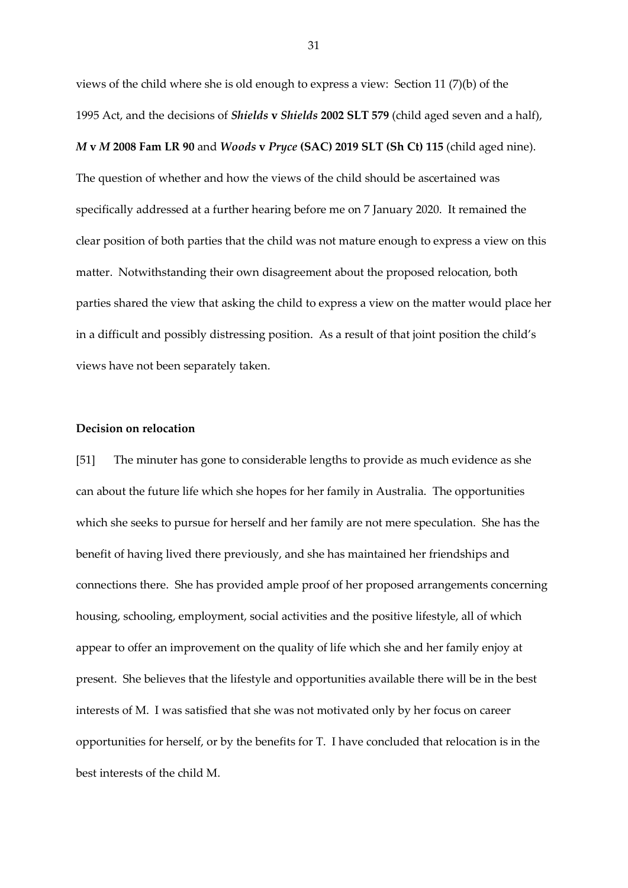views of the child where she is old enough to express a view: Section 11 (7)(b) of the 1995 Act, and the decisions of *Shields* **v** *Shields* **2002 SLT 579** (child aged seven and a half), *M* **v** *M* **2008 Fam LR 90** and *Woods* **v** *Pryce* **(SAC) 2019 SLT (Sh Ct) 115** (child aged nine). The question of whether and how the views of the child should be ascertained was specifically addressed at a further hearing before me on 7 January 2020. It remained the clear position of both parties that the child was not mature enough to express a view on this matter. Notwithstanding their own disagreement about the proposed relocation, both parties shared the view that asking the child to express a view on the matter would place her in a difficult and possibly distressing position. As a result of that joint position the child's views have not been separately taken.

### **Decision on relocation**

[51] The minuter has gone to considerable lengths to provide as much evidence as she can about the future life which she hopes for her family in Australia. The opportunities which she seeks to pursue for herself and her family are not mere speculation. She has the benefit of having lived there previously, and she has maintained her friendships and connections there. She has provided ample proof of her proposed arrangements concerning housing, schooling, employment, social activities and the positive lifestyle, all of which appear to offer an improvement on the quality of life which she and her family enjoy at present. She believes that the lifestyle and opportunities available there will be in the best interests of M. I was satisfied that she was not motivated only by her focus on career opportunities for herself, or by the benefits for T. I have concluded that relocation is in the best interests of the child M.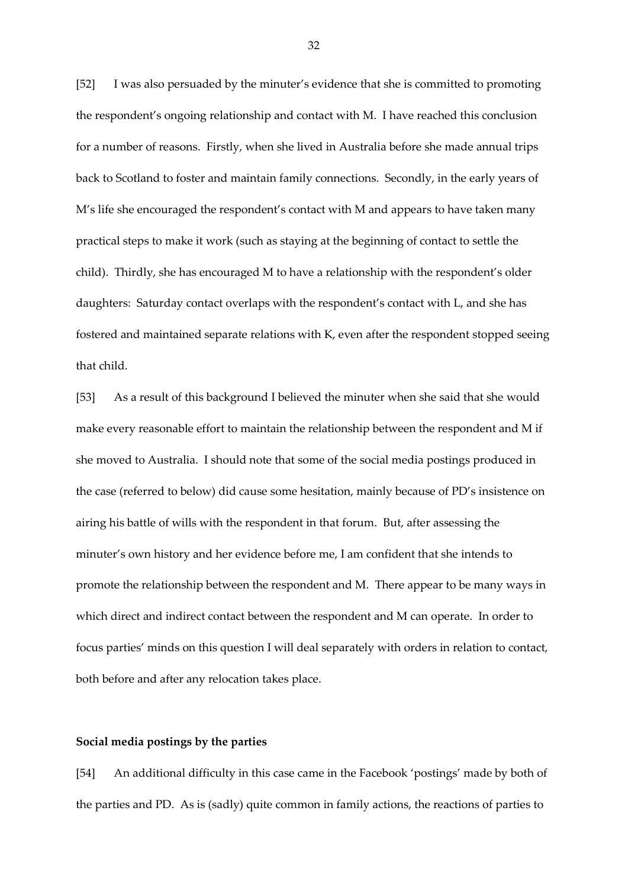[52] I was also persuaded by the minuter's evidence that she is committed to promoting the respondent's ongoing relationship and contact with M. I have reached this conclusion for a number of reasons. Firstly, when she lived in Australia before she made annual trips back to Scotland to foster and maintain family connections. Secondly, in the early years of M's life she encouraged the respondent's contact with M and appears to have taken many practical steps to make it work (such as staying at the beginning of contact to settle the child). Thirdly, she has encouraged M to have a relationship with the respondent's older daughters: Saturday contact overlaps with the respondent's contact with L, and she has fostered and maintained separate relations with K, even after the respondent stopped seeing that child.

[53] As a result of this background I believed the minuter when she said that she would make every reasonable effort to maintain the relationship between the respondent and M if she moved to Australia. I should note that some of the social media postings produced in the case (referred to below) did cause some hesitation, mainly because of PD's insistence on airing his battle of wills with the respondent in that forum. But, after assessing the minuter's own history and her evidence before me, I am confident that she intends to promote the relationship between the respondent and M. There appear to be many ways in which direct and indirect contact between the respondent and M can operate. In order to focus parties' minds on this question I will deal separately with orders in relation to contact, both before and after any relocation takes place.

### **Social media postings by the parties**

[54] An additional difficulty in this case came in the Facebook 'postings' made by both of the parties and PD. As is (sadly) quite common in family actions, the reactions of parties to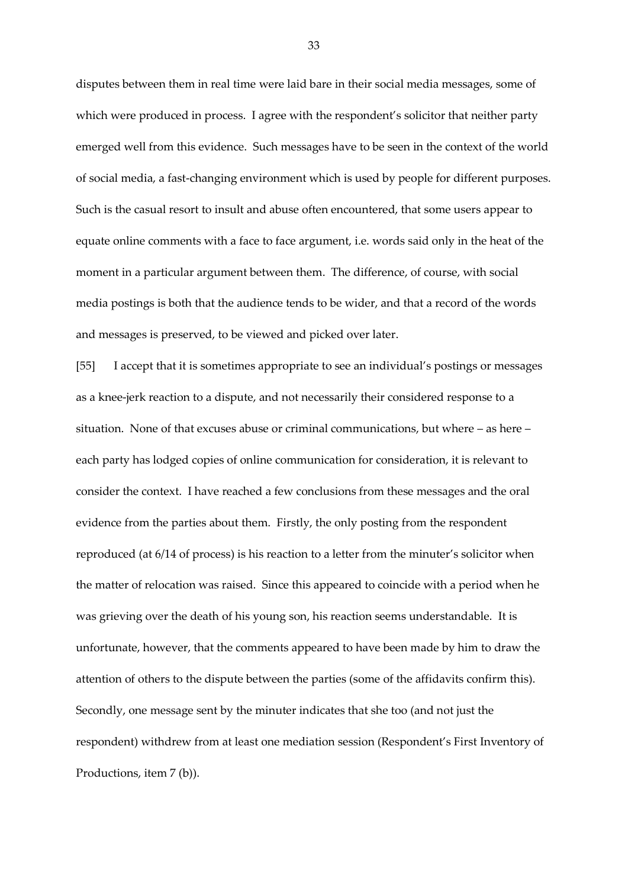disputes between them in real time were laid bare in their social media messages, some of which were produced in process. I agree with the respondent's solicitor that neither party emerged well from this evidence. Such messages have to be seen in the context of the world of social media, a fast-changing environment which is used by people for different purposes. Such is the casual resort to insult and abuse often encountered, that some users appear to equate online comments with a face to face argument, i.e. words said only in the heat of the moment in a particular argument between them. The difference, of course, with social media postings is both that the audience tends to be wider, and that a record of the words and messages is preserved, to be viewed and picked over later.

[55] I accept that it is sometimes appropriate to see an individual's postings or messages as a knee-jerk reaction to a dispute, and not necessarily their considered response to a situation. None of that excuses abuse or criminal communications, but where – as here – each party has lodged copies of online communication for consideration, it is relevant to consider the context. I have reached a few conclusions from these messages and the oral evidence from the parties about them. Firstly, the only posting from the respondent reproduced (at 6/14 of process) is his reaction to a letter from the minuter's solicitor when the matter of relocation was raised. Since this appeared to coincide with a period when he was grieving over the death of his young son, his reaction seems understandable. It is unfortunate, however, that the comments appeared to have been made by him to draw the attention of others to the dispute between the parties (some of the affidavits confirm this). Secondly, one message sent by the minuter indicates that she too (and not just the respondent) withdrew from at least one mediation session (Respondent's First Inventory of Productions, item 7 (b)).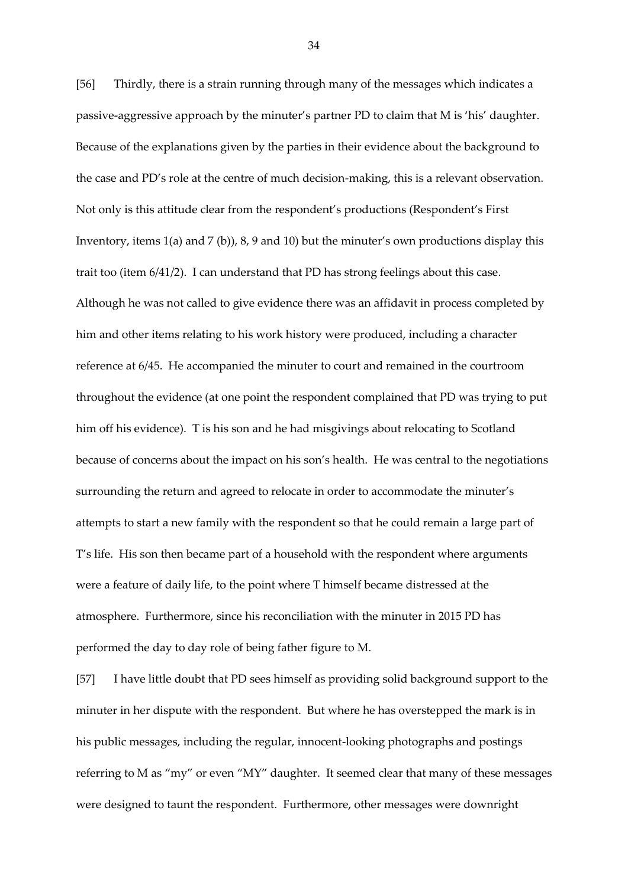[56] Thirdly, there is a strain running through many of the messages which indicates a passive-aggressive approach by the minuter's partner PD to claim that M is 'his' daughter. Because of the explanations given by the parties in their evidence about the background to the case and PD's role at the centre of much decision-making, this is a relevant observation. Not only is this attitude clear from the respondent's productions (Respondent's First Inventory, items 1(a) and 7 (b)), 8, 9 and 10) but the minuter's own productions display this trait too (item 6/41/2). I can understand that PD has strong feelings about this case. Although he was not called to give evidence there was an affidavit in process completed by him and other items relating to his work history were produced, including a character reference at 6/45. He accompanied the minuter to court and remained in the courtroom throughout the evidence (at one point the respondent complained that PD was trying to put him off his evidence). T is his son and he had misgivings about relocating to Scotland because of concerns about the impact on his son's health. He was central to the negotiations surrounding the return and agreed to relocate in order to accommodate the minuter's attempts to start a new family with the respondent so that he could remain a large part of T's life. His son then became part of a household with the respondent where arguments were a feature of daily life, to the point where T himself became distressed at the atmosphere. Furthermore, since his reconciliation with the minuter in 2015 PD has performed the day to day role of being father figure to M.

[57] I have little doubt that PD sees himself as providing solid background support to the minuter in her dispute with the respondent. But where he has overstepped the mark is in his public messages, including the regular, innocent-looking photographs and postings referring to M as "my" or even "MY" daughter. It seemed clear that many of these messages were designed to taunt the respondent. Furthermore, other messages were downright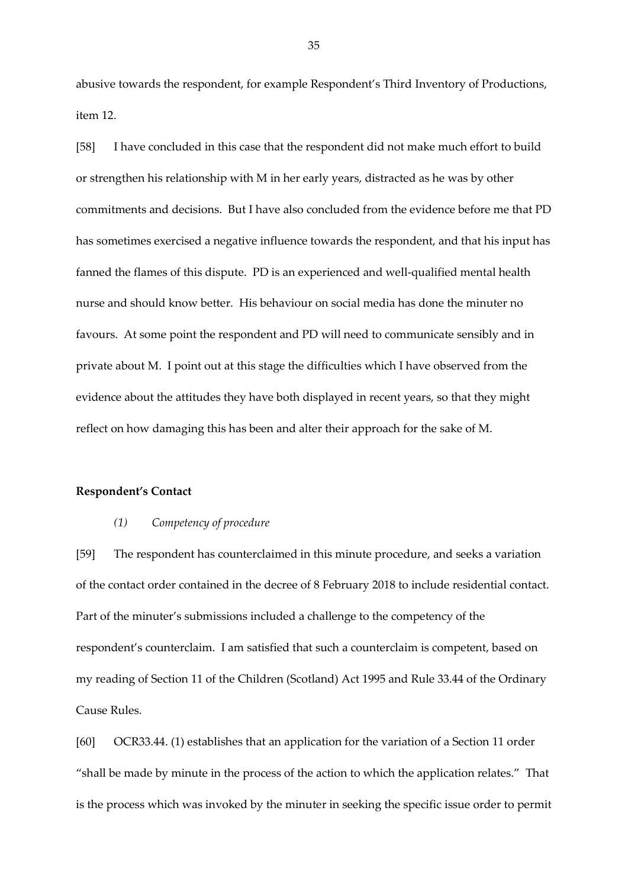abusive towards the respondent, for example Respondent's Third Inventory of Productions, item 12.

[58] I have concluded in this case that the respondent did not make much effort to build or strengthen his relationship with M in her early years, distracted as he was by other commitments and decisions. But I have also concluded from the evidence before me that PD has sometimes exercised a negative influence towards the respondent, and that his input has fanned the flames of this dispute. PD is an experienced and well-qualified mental health nurse and should know better. His behaviour on social media has done the minuter no favours. At some point the respondent and PD will need to communicate sensibly and in private about M. I point out at this stage the difficulties which I have observed from the evidence about the attitudes they have both displayed in recent years, so that they might reflect on how damaging this has been and alter their approach for the sake of M.

# **Respondent's Contact**

#### *(1) Competency of procedure*

[59] The respondent has counterclaimed in this minute procedure, and seeks a variation of the contact order contained in the decree of 8 February 2018 to include residential contact. Part of the minuter's submissions included a challenge to the competency of the respondent's counterclaim. I am satisfied that such a counterclaim is competent, based on my reading of Section 11 of the Children (Scotland) Act 1995 and Rule 33.44 of the Ordinary Cause Rules.

[60] OCR33.44. (1) establishes that an application for the variation of a Section 11 order "shall be made by minute in the process of the action to which the application relates." That is the process which was invoked by the minuter in seeking the specific issue order to permit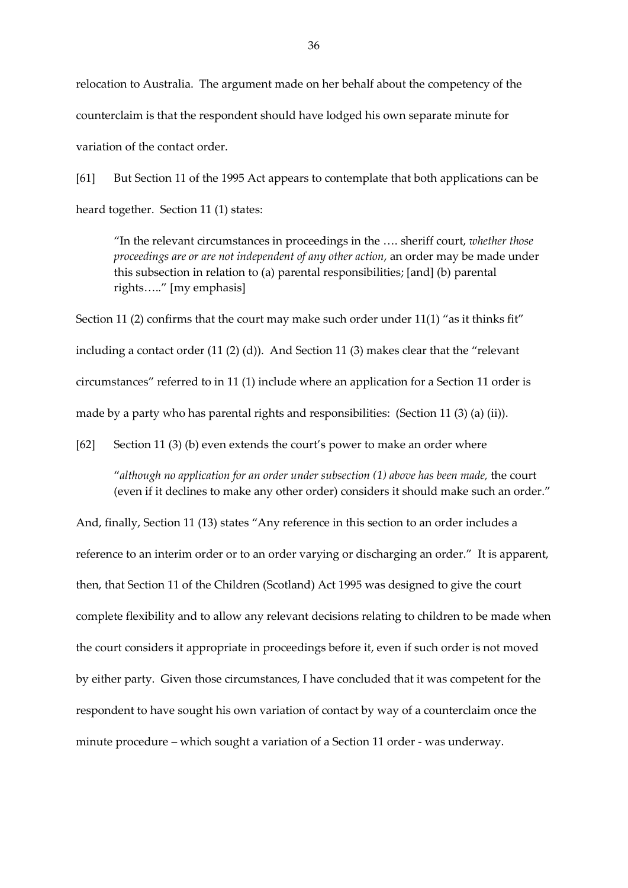relocation to Australia. The argument made on her behalf about the competency of the counterclaim is that the respondent should have lodged his own separate minute for variation of the contact order.

[61] But Section 11 of the 1995 Act appears to contemplate that both applications can be heard together. Section 11 (1) states:

"In the relevant circumstances in proceedings in the …. sheriff court, *whether those proceedings are or are not independent of any other action*, an order may be made under this subsection in relation to (a) parental responsibilities; [and] (b) parental rights….." [my emphasis]

Section 11 (2) confirms that the court may make such order under  $11(1)$  "as it thinks fit" including a contact order (11 (2) (d)). And Section 11 (3) makes clear that the "relevant circumstances" referred to in 11 (1) include where an application for a Section 11 order is made by a party who has parental rights and responsibilities: (Section 11 (3) (a) (ii)).

[62] Section 11 (3) (b) even extends the court's power to make an order where

"*although no application for an order under subsection (1) above has been made,* the court (even if it declines to make any other order) considers it should make such an order."

And, finally, Section 11 (13) states "Any reference in this section to an order includes a reference to an interim order or to an order varying or discharging an order." It is apparent, then, that Section 11 of the Children (Scotland) Act 1995 was designed to give the court complete flexibility and to allow any relevant decisions relating to children to be made when the court considers it appropriate in proceedings before it, even if such order is not moved by either party. Given those circumstances, I have concluded that it was competent for the respondent to have sought his own variation of contact by way of a counterclaim once the minute procedure – which sought a variation of a Section 11 order - was underway.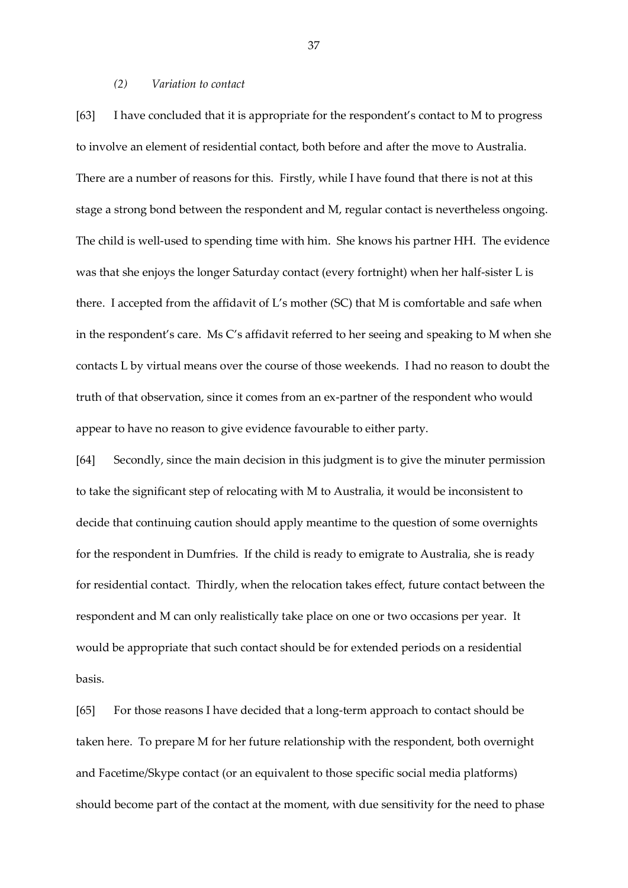### *(2) Variation to contact*

[63] I have concluded that it is appropriate for the respondent's contact to M to progress to involve an element of residential contact, both before and after the move to Australia. There are a number of reasons for this. Firstly, while I have found that there is not at this stage a strong bond between the respondent and M, regular contact is nevertheless ongoing. The child is well-used to spending time with him. She knows his partner HH. The evidence was that she enjoys the longer Saturday contact (every fortnight) when her half-sister L is there. I accepted from the affidavit of L's mother  $(SC)$  that M is comfortable and safe when in the respondent's care. Ms C's affidavit referred to her seeing and speaking to M when she contacts L by virtual means over the course of those weekends. I had no reason to doubt the truth of that observation, since it comes from an ex-partner of the respondent who would appear to have no reason to give evidence favourable to either party.

[64] Secondly, since the main decision in this judgment is to give the minuter permission to take the significant step of relocating with M to Australia, it would be inconsistent to decide that continuing caution should apply meantime to the question of some overnights for the respondent in Dumfries. If the child is ready to emigrate to Australia, she is ready for residential contact. Thirdly, when the relocation takes effect, future contact between the respondent and M can only realistically take place on one or two occasions per year. It would be appropriate that such contact should be for extended periods on a residential basis.

[65] For those reasons I have decided that a long-term approach to contact should be taken here. To prepare M for her future relationship with the respondent, both overnight and Facetime/Skype contact (or an equivalent to those specific social media platforms) should become part of the contact at the moment, with due sensitivity for the need to phase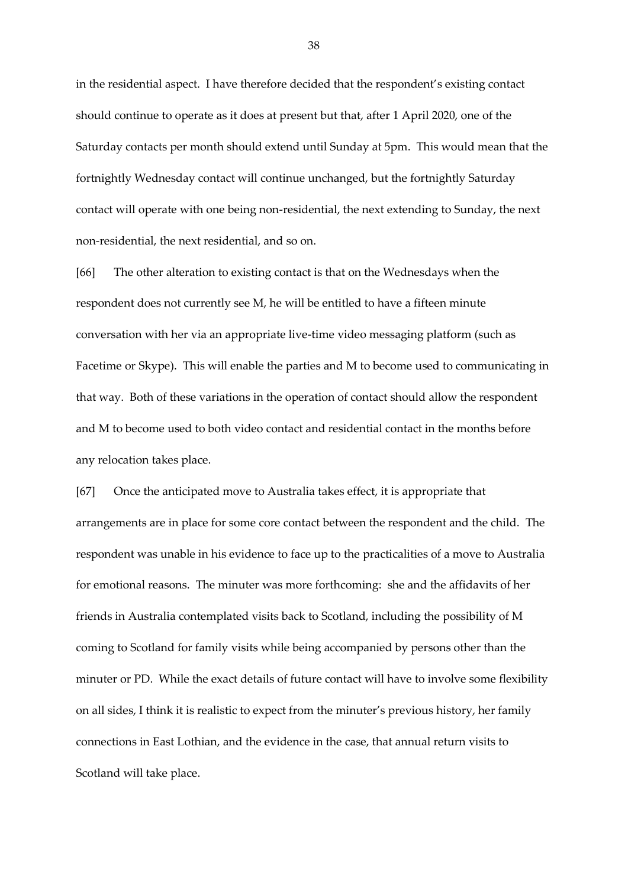in the residential aspect. I have therefore decided that the respondent's existing contact should continue to operate as it does at present but that, after 1 April 2020, one of the Saturday contacts per month should extend until Sunday at 5pm. This would mean that the fortnightly Wednesday contact will continue unchanged, but the fortnightly Saturday contact will operate with one being non-residential, the next extending to Sunday, the next non-residential, the next residential, and so on.

[66] The other alteration to existing contact is that on the Wednesdays when the respondent does not currently see M, he will be entitled to have a fifteen minute conversation with her via an appropriate live-time video messaging platform (such as Facetime or Skype). This will enable the parties and M to become used to communicating in that way. Both of these variations in the operation of contact should allow the respondent and M to become used to both video contact and residential contact in the months before any relocation takes place.

[67] Once the anticipated move to Australia takes effect, it is appropriate that arrangements are in place for some core contact between the respondent and the child. The respondent was unable in his evidence to face up to the practicalities of a move to Australia for emotional reasons. The minuter was more forthcoming: she and the affidavits of her friends in Australia contemplated visits back to Scotland, including the possibility of M coming to Scotland for family visits while being accompanied by persons other than the minuter or PD. While the exact details of future contact will have to involve some flexibility on all sides, I think it is realistic to expect from the minuter's previous history, her family connections in East Lothian, and the evidence in the case, that annual return visits to Scotland will take place.